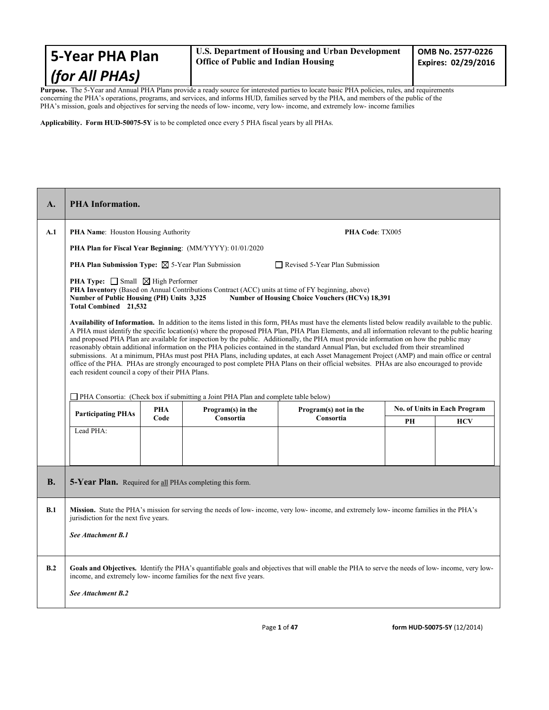Purpose. The 5-Year and Annual PHA Plans provide a ready source for interested parties to locate basic PHA policies, rules, and requirements concerning the PHA's operations, programs, and services, and informs HUD, families served by the PHA, and members of the public of the PHA's mission, goals and objectives for serving the needs of low- income, very low- income, and extremely low- income families

**Applicability. Form HUD-50075-5Y** is to be completed once every 5 PHA fiscal years by all PHAs.

| $\mathbf{A}$ . | <b>PHA</b> Information.                                                                                                   |                    |                                                                                                   |                                                                                                                                                                                                                                                                                                                                                                                                                                                                                                                                                                                                                                                                                                                                                                                                                                                                                         |    |                              |
|----------------|---------------------------------------------------------------------------------------------------------------------------|--------------------|---------------------------------------------------------------------------------------------------|-----------------------------------------------------------------------------------------------------------------------------------------------------------------------------------------------------------------------------------------------------------------------------------------------------------------------------------------------------------------------------------------------------------------------------------------------------------------------------------------------------------------------------------------------------------------------------------------------------------------------------------------------------------------------------------------------------------------------------------------------------------------------------------------------------------------------------------------------------------------------------------------|----|------------------------------|
| A.1            | PHA Name: Houston Housing Authority                                                                                       |                    |                                                                                                   | PHA Code: TX005                                                                                                                                                                                                                                                                                                                                                                                                                                                                                                                                                                                                                                                                                                                                                                                                                                                                         |    |                              |
|                |                                                                                                                           |                    | PHA Plan for Fiscal Year Beginning: (MM/YYYY): 01/01/2020                                         |                                                                                                                                                                                                                                                                                                                                                                                                                                                                                                                                                                                                                                                                                                                                                                                                                                                                                         |    |                              |
|                | <b>PHA Plan Submission Type:</b> $\boxtimes$ 5-Year Plan Submission                                                       |                    |                                                                                                   | $\Box$ Revised 5-Year Plan Submission                                                                                                                                                                                                                                                                                                                                                                                                                                                                                                                                                                                                                                                                                                                                                                                                                                                   |    |                              |
|                | <b>PHA Type:</b> $\Box$ Small $\Box$ High Performer<br>Number of Public Housing (PH) Units 3,325<br>Total Combined 21,532 |                    | PHA Inventory (Based on Annual Contributions Contract (ACC) units at time of FY beginning, above) | <b>Number of Housing Choice Vouchers (HCVs) 18,391</b>                                                                                                                                                                                                                                                                                                                                                                                                                                                                                                                                                                                                                                                                                                                                                                                                                                  |    |                              |
|                | each resident council a copy of their PHA Plans.                                                                          |                    |                                                                                                   | Availability of Information. In addition to the items listed in this form, PHAs must have the elements listed below readily available to the public.<br>A PHA must identify the specific location(s) where the proposed PHA Plan, PHA Plan Elements, and all information relevant to the public hearing<br>and proposed PHA Plan are available for inspection by the public. Additionally, the PHA must provide information on how the public may<br>reasonably obtain additional information on the PHA policies contained in the standard Annual Plan, but excluded from their streamlined<br>submissions. At a minimum, PHAs must post PHA Plans, including updates, at each Asset Management Project (AMP) and main office or central<br>office of the PHA. PHAs are strongly encouraged to post complete PHA Plans on their official websites. PHAs are also encouraged to provide |    |                              |
|                |                                                                                                                           |                    | PHA Consortia: (Check box if submitting a Joint PHA Plan and complete table below)                |                                                                                                                                                                                                                                                                                                                                                                                                                                                                                                                                                                                                                                                                                                                                                                                                                                                                                         |    |                              |
|                | <b>Participating PHAs</b>                                                                                                 | <b>PHA</b><br>Code | Program(s) in the<br>Consortia                                                                    | Program(s) not in the<br>Consortia                                                                                                                                                                                                                                                                                                                                                                                                                                                                                                                                                                                                                                                                                                                                                                                                                                                      |    | No. of Units in Each Program |
|                | Lead PHA:                                                                                                                 |                    |                                                                                                   |                                                                                                                                                                                                                                                                                                                                                                                                                                                                                                                                                                                                                                                                                                                                                                                                                                                                                         | PH | <b>HCV</b>                   |
|                |                                                                                                                           |                    |                                                                                                   |                                                                                                                                                                                                                                                                                                                                                                                                                                                                                                                                                                                                                                                                                                                                                                                                                                                                                         |    |                              |
| <b>B.</b>      | 5-Year Plan. Required for all PHAs completing this form.                                                                  |                    |                                                                                                   |                                                                                                                                                                                                                                                                                                                                                                                                                                                                                                                                                                                                                                                                                                                                                                                                                                                                                         |    |                              |
| B.1            | jurisdiction for the next five years.                                                                                     |                    |                                                                                                   | Mission. State the PHA's mission for serving the needs of low- income, very low- income, and extremely low- income families in the PHA's                                                                                                                                                                                                                                                                                                                                                                                                                                                                                                                                                                                                                                                                                                                                                |    |                              |
|                | See Attachment B.1                                                                                                        |                    |                                                                                                   |                                                                                                                                                                                                                                                                                                                                                                                                                                                                                                                                                                                                                                                                                                                                                                                                                                                                                         |    |                              |
| B.2            | See Attachment B.2                                                                                                        |                    | income, and extremely low- income families for the next five years.                               | Goals and Objectives. Identify the PHA's quantifiable goals and objectives that will enable the PHA to serve the needs of low-income, very low-                                                                                                                                                                                                                                                                                                                                                                                                                                                                                                                                                                                                                                                                                                                                         |    |                              |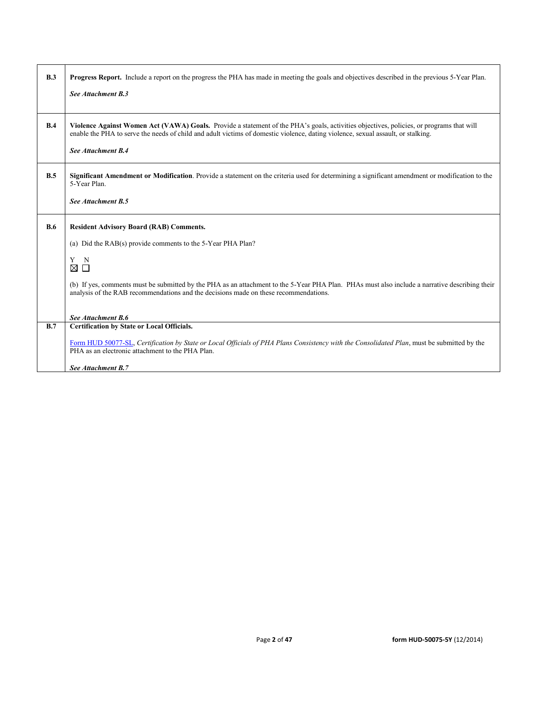| B.3        | <b>Progress Report.</b> Include a report on the progress the PHA has made in meeting the goals and objectives described in the previous 5-Year Plan.                                                                                                                                              |
|------------|---------------------------------------------------------------------------------------------------------------------------------------------------------------------------------------------------------------------------------------------------------------------------------------------------|
|            | See Attachment B.3                                                                                                                                                                                                                                                                                |
| B.4        | Violence Against Women Act (VAWA) Goals. Provide a statement of the PHA's goals, activities objectives, policies, or programs that will<br>enable the PHA to serve the needs of child and adult victims of domestic violence, dating violence, sexual assault, or stalking.<br>See Attachment B.4 |
| B.5        | Significant Amendment or Modification. Provide a statement on the criteria used for determining a significant amendment or modification to the<br>5-Year Plan.                                                                                                                                    |
|            | See Attachment B.5                                                                                                                                                                                                                                                                                |
| <b>B.6</b> | <b>Resident Advisory Board (RAB) Comments.</b>                                                                                                                                                                                                                                                    |
|            | (a) Did the RAB(s) provide comments to the 5-Year PHA Plan?                                                                                                                                                                                                                                       |
|            | Y N<br>⊠П                                                                                                                                                                                                                                                                                         |
|            | (b) If yes, comments must be submitted by the PHA as an attachment to the 5-Year PHA Plan. PHAs must also include a narrative describing their<br>analysis of the RAB recommendations and the decisions made on these recommendations.                                                            |
|            | See Attachment B.6                                                                                                                                                                                                                                                                                |
| B.7        | <b>Certification by State or Local Officials.</b>                                                                                                                                                                                                                                                 |
|            | Form HUD 50077-SL, Certification by State or Local Officials of PHA Plans Consistency with the Consolidated Plan, must be submitted by the<br>PHA as an electronic attachment to the PHA Plan.                                                                                                    |
|            | See Attachment B.7                                                                                                                                                                                                                                                                                |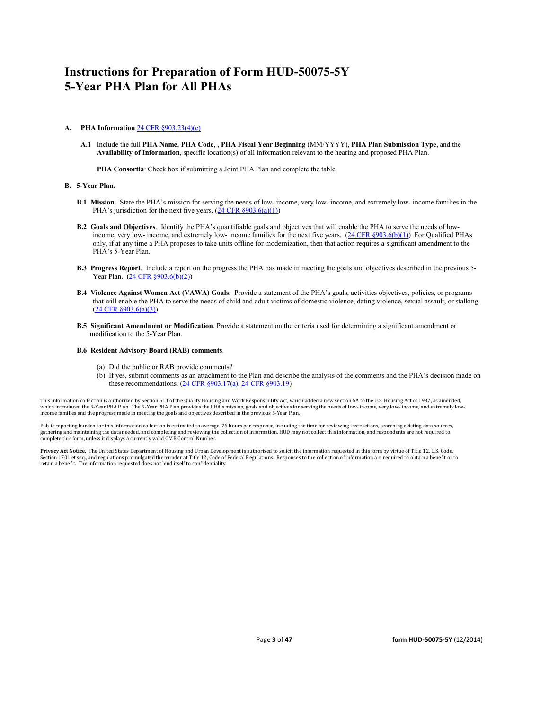# **Instructions for Preparation of Form HUD-50075-5Y 5-Year PHA Plan for All PHAs**

#### **A. PHA Information** [24 CFR §903.23\(4\)\(e\)](http://ecfr.gpoaccess.gov/cgi/t/text/text-idx?c=ecfr&sid=13734845220744370804c20da2294a03&rgn=div5&view=text&node=24:4.0.3.1.3&idno=24#24:4.0.3.1.3.2.5.14)

**A.1** Include the full **PHA Name**, **PHA Code**, , **PHA Fiscal Year Beginning** (MM/YYYY), **PHA Plan Submission Type**, and the **Availability of Information**, specific location(s) of all information relevant to the hearing and proposed PHA Plan.

**PHA Consortia**: Check box if submitting a Joint PHA Plan and complete the table.

#### **B. 5-Year Plan.**

- **B.1 Mission.** State the PHA's mission for serving the needs of low- income, very low- income, and extremely low- income families in the PHA's jurisdiction for the next five years.  $(24 \text{ CFR } \frac{8903.6(a)(1)}{24 \text{ CFR } \frac{1}{2}})$
- **B.2 Goals and Objectives**. Identify the PHA's quantifiable goals and objectives that will enable the PHA to serve the needs of low-income, very low- income, and extremely low- income families for the next five years. [\(24 CFR §903.6\(b\)\(1\)\)](http://ecfr.gpoaccess.gov/cgi/t/text/text-idx?c=ecfr&sid=13734845220744370804c20da2294a03&rgn=div5&view=text&node=24:4.0.3.1.3&idno=24#24:4.0.3.1.3.2.5.4) For Qualified PHAs only, if at any time a PHA proposes to take units offline for modernization, then that action requires a significant amendment to the PHA's 5-Year Plan.
- **B.3 Progress Report**. Include a report on the progress the PHA has made in meeting the goals and objectives described in the previous 5- Year Plan. [\(24 CFR §903.6\(b\)\(2\)\)](http://ecfr.gpoaccess.gov/cgi/t/text/text-idx?c=ecfr&sid=13734845220744370804c20da2294a03&rgn=div5&view=text&node=24:4.0.3.1.3&idno=24#24:4.0.3.1.3.2.5.4)
- **B.4 Violence Against Women Act (VAWA) Goals.** Provide a statement of the PHA's goals, activities objectives, policies, or programs that will enable the PHA to serve the needs of child and adult victims of domestic violence, dating violence, sexual assault, or stalking. [\(24 CFR §903.6\(a\)\(3\)\)](http://ecfr.gpoaccess.gov/cgi/t/text/text-idx?c=ecfr&sid=13734845220744370804c20da2294a03&rgn=div5&view=text&node=24:4.0.3.1.3&idno=24#24:4.0.3.1.3.2.5.4)
- **B.5 Significant Amendment or Modification**. Provide a statement on the criteria used for determining a significant amendment or modification to the 5-Year Plan.

#### **B.6 Resident Advisory Board (RAB) comments**.

- (a) Did the public or RAB provide comments?
- (b) If yes, submit comments as an attachment to the Plan and describe the analysis of the comments and the PHA's decision made on these recommendations. (24 CFR §903.17(a), [24 CFR §903.19\)](http://ecfr.gpoaccess.gov/cgi/t/text/text-idx?c=ecfr&sid=f41eb312b1425d2a95a2478fde61e11f&rgn=div5&view=text&node=24:4.0.3.1.3&idno=24#24:4.0.3.1.3.2.5.12)

This information collection is authorized by Section 511 of the Quality Housing and Work Responsibility Act, which added a new section 5A to the U.S. Housing Act of 1937, as amended, which introduced the 5-Year PHA Plan. The 5-Year PHA Plan provides the PHA's mission, goals and objectives for serving the needs of low- income, very low- income, and extremely lowincome families and the progress made in meeting the goals and objectives described in the previous 5-Year Plan.

Public reporting burden for this information collection is estimated to average .76 hours per response, including the time for reviewing instructions, searching existing data sources, gathering and maintaining the data needed, and completing and reviewing the collection of information. HUD may not collect this information, and respondents are not required to<br>complete this form, unless it displays a curr

**Privacy Act Notice.** The United States Department of Housing and Urban Development is authorized to solicit the information requested in this form by virtue of Title 12, U.S. Code,<br>Section 1701 et seq., and regulations pr retain a benefit. The information requested does not lend itself to confidentiality.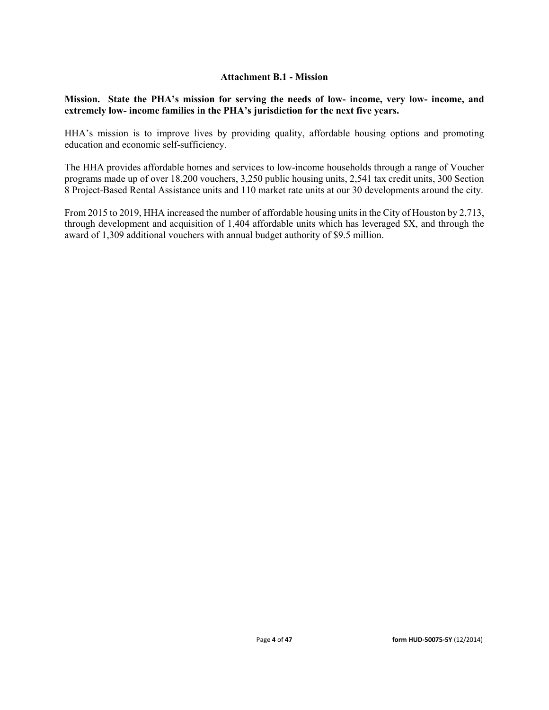### **Attachment B.1 - Mission**

**Mission. State the PHA's mission for serving the needs of low- income, very low- income, and extremely low- income families in the PHA's jurisdiction for the next five years.** 

HHA's mission is to improve lives by providing quality, affordable housing options and promoting education and economic self-sufficiency.

The HHA provides affordable homes and services to low-income households through a range of Voucher programs made up of over 18,200 vouchers, 3,250 public housing units, 2,541 tax credit units, 300 Section 8 Project-Based Rental Assistance units and 110 market rate units at our 30 developments around the city.

From 2015 to 2019, HHA increased the number of affordable housing units in the City of Houston by 2,713, through development and acquisition of 1,404 affordable units which has leveraged \$X, and through the award of 1,309 additional vouchers with annual budget authority of \$9.5 million.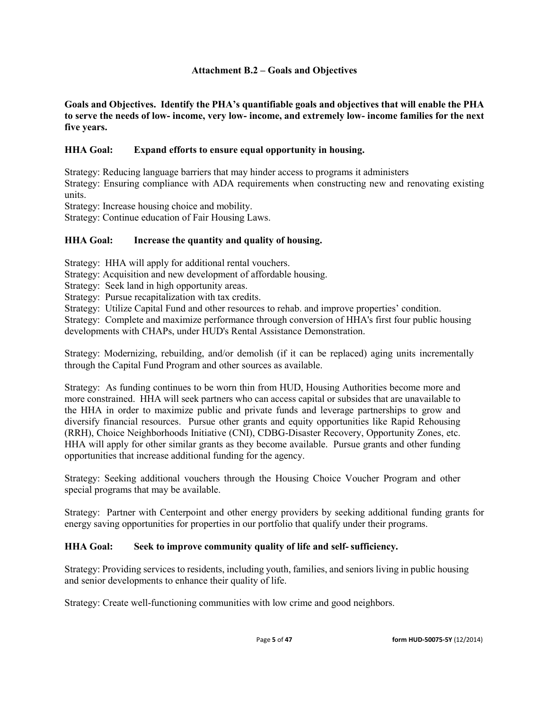### **Attachment B.2 – Goals and Objectives**

**Goals and Objectives. Identify the PHA's quantifiable goals and objectives that will enable the PHA to serve the needs of low- income, very low- income, and extremely low- income families for the next five years.** 

### **HHA Goal: Expand efforts to ensure equal opportunity in housing.**

Strategy: Reducing language barriers that may hinder access to programs it administers Strategy: Ensuring compliance with ADA requirements when constructing new and renovating existing units.

Strategy: Increase housing choice and mobility.

Strategy: Continue education of Fair Housing Laws.

### **HHA Goal: Increase the quantity and quality of housing.**

Strategy: HHA will apply for additional rental vouchers.

Strategy: Acquisition and new development of affordable housing.

Strategy: Seek land in high opportunity areas.

Strategy: Pursue recapitalization with tax credits.

Strategy: Utilize Capital Fund and other resources to rehab. and improve properties' condition.

Strategy: Complete and maximize performance through conversion of HHA's first four public housing developments with CHAPs, under HUD's Rental Assistance Demonstration.

Strategy: Modernizing, rebuilding, and/or demolish (if it can be replaced) aging units incrementally through the Capital Fund Program and other sources as available.

Strategy: As funding continues to be worn thin from HUD, Housing Authorities become more and more constrained. HHA will seek partners who can access capital or subsides that are unavailable to the HHA in order to maximize public and private funds and leverage partnerships to grow and diversify financial resources. Pursue other grants and equity opportunities like Rapid Rehousing (RRH), Choice Neighborhoods Initiative (CNI), CDBG-Disaster Recovery, Opportunity Zones, etc. HHA will apply for other similar grants as they become available. Pursue grants and other funding opportunities that increase additional funding for the agency.

Strategy: Seeking additional vouchers through the Housing Choice Voucher Program and other special programs that may be available.

Strategy: Partner with Centerpoint and other energy providers by seeking additional funding grants for energy saving opportunities for properties in our portfolio that qualify under their programs.

### **HHA Goal: Seek to improve community quality of life and self- sufficiency.**

Strategy: Providing services to residents, including youth, families, and seniors living in public housing and senior developments to enhance their quality of life.

Strategy: Create well-functioning communities with low crime and good neighbors.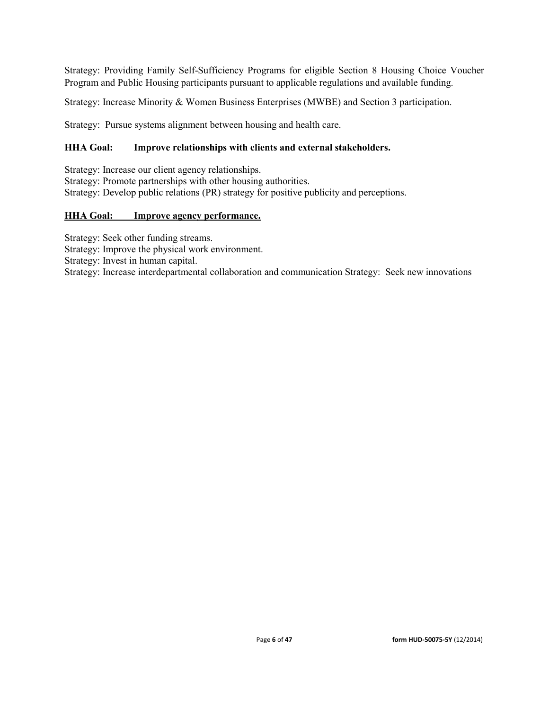Strategy: Providing Family Self-Sufficiency Programs for eligible Section 8 Housing Choice Voucher Program and Public Housing participants pursuant to applicable regulations and available funding.

Strategy: Increase Minority & Women Business Enterprises (MWBE) and Section 3 participation.

Strategy: Pursue systems alignment between housing and health care.

## **HHA Goal: Improve relationships with clients and external stakeholders.**

Strategy: Increase our client agency relationships. Strategy: Promote partnerships with other housing authorities. Strategy: Develop public relations (PR) strategy for positive publicity and perceptions.

## **HHA Goal: Improve agency performance.**

Strategy: Seek other funding streams. Strategy: Improve the physical work environment. Strategy: Invest in human capital. Strategy: Increase interdepartmental collaboration and communication Strategy: Seek new innovations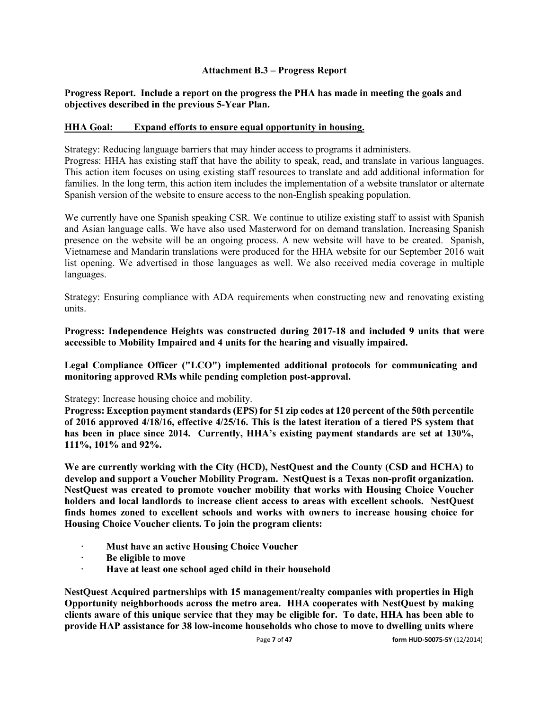### **Attachment B.3 – Progress Report**

### **Progress Report. Include a report on the progress the PHA has made in meeting the goals and objectives described in the previous 5-Year Plan.**

### **HHA Goal: Expand efforts to ensure equal opportunity in housing.**

Strategy: Reducing language barriers that may hinder access to programs it administers.

Progress: HHA has existing staff that have the ability to speak, read, and translate in various languages. This action item focuses on using existing staff resources to translate and add additional information for families. In the long term, this action item includes the implementation of a website translator or alternate Spanish version of the website to ensure access to the non-English speaking population.

We currently have one Spanish speaking CSR. We continue to utilize existing staff to assist with Spanish and Asian language calls. We have also used Masterword for on demand translation. Increasing Spanish presence on the website will be an ongoing process. A new website will have to be created. Spanish, Vietnamese and Mandarin translations were produced for the HHA website for our September 2016 wait list opening. We advertised in those languages as well. We also received media coverage in multiple languages.

Strategy: Ensuring compliance with ADA requirements when constructing new and renovating existing units.

**Progress: Independence Heights was constructed during 2017-18 and included 9 units that were accessible to Mobility Impaired and 4 units for the hearing and visually impaired.**

**Legal Compliance Officer ("LCO") implemented additional protocols for communicating and monitoring approved RMs while pending completion post-approval.**

### Strategy: Increase housing choice and mobility.

**Progress: Exception payment standards (EPS) for 51 zip codes at 120 percent of the 50th percentile of 2016 approved 4/18/16, effective 4/25/16. This is the latest iteration of a tiered PS system that has been in place since 2014. Currently, HHA's existing payment standards are set at 130%, 111%, 101% and 92%.** 

**We are currently working with the City (HCD), NestQuest and the County (CSD and HCHA) to develop and support a Voucher Mobility Program. NestQuest is a Texas non-profit organization. NestQuest was created to promote voucher mobility that works with Housing Choice Voucher holders and local landlords to increase client access to areas with excellent schools. NestQuest finds homes zoned to excellent schools and works with owners to increase housing choice for Housing Choice Voucher clients. To join the program clients:**

- **· Must have an active Housing Choice Voucher**
- **· Be eligible to move**
- **· Have at least one school aged child in their household**

**NestQuest Acquired partnerships with 15 management/realty companies with properties in High Opportunity neighborhoods across the metro area. HHA cooperates with NestQuest by making clients aware of this unique service that they may be eligible for. To date, HHA has been able to provide HAP assistance for 38 low-income households who chose to move to dwelling units where**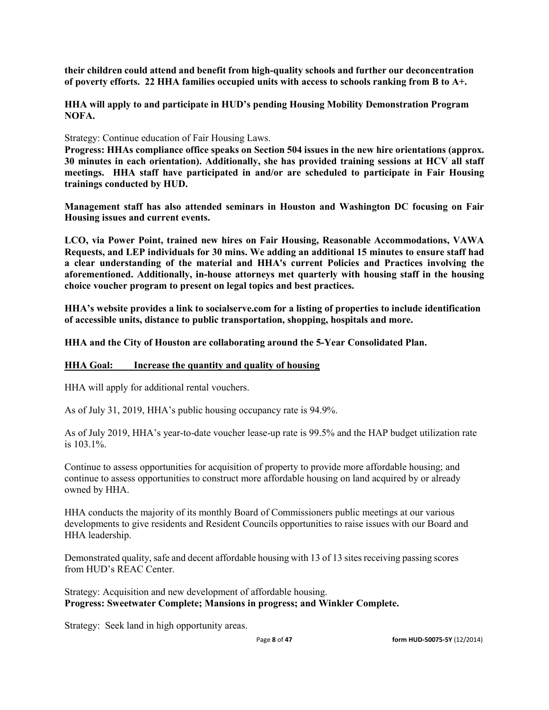**their children could attend and benefit from high-quality schools and further our deconcentration of poverty efforts. 22 HHA families occupied units with access to schools ranking from B to A+.**

**HHA will apply to and participate in HUD's pending Housing Mobility Demonstration Program NOFA.**

Strategy: Continue education of Fair Housing Laws.

**Progress: HHAs compliance office speaks on Section 504 issues in the new hire orientations (approx. 30 minutes in each orientation). Additionally, she has provided training sessions at HCV all staff meetings. HHA staff have participated in and/or are scheduled to participate in Fair Housing trainings conducted by HUD.**

**Management staff has also attended seminars in Houston and Washington DC focusing on Fair Housing issues and current events.**

**LCO, via Power Point, trained new hires on Fair Housing, Reasonable Accommodations, VAWA Requests, and LEP individuals for 30 mins. We adding an additional 15 minutes to ensure staff had a clear understanding of the material and HHA's current Policies and Practices involving the aforementioned. Additionally, in-house attorneys met quarterly with housing staff in the housing choice voucher program to present on legal topics and best practices.**

**HHA's website provides a link to socialserve.com for a listing of properties to include identification of accessible units, distance to public transportation, shopping, hospitals and more.**

**HHA and the City of Houston are collaborating around the 5-Year Consolidated Plan.**

### **HHA Goal: Increase the quantity and quality of housing**

HHA will apply for additional rental vouchers.

As of July 31, 2019, HHA's public housing occupancy rate is 94.9%.

As of July 2019, HHA's year-to-date voucher lease-up rate is 99.5% and the HAP budget utilization rate is 103.1%.

Continue to assess opportunities for acquisition of property to provide more affordable housing; and continue to assess opportunities to construct more affordable housing on land acquired by or already owned by HHA.

HHA conducts the majority of its monthly Board of Commissioners public meetings at our various developments to give residents and Resident Councils opportunities to raise issues with our Board and HHA leadership.

Demonstrated quality, safe and decent affordable housing with 13 of 13 sites receiving passing scores from HUD's REAC Center.

Strategy: Acquisition and new development of affordable housing. **Progress: Sweetwater Complete; Mansions in progress; and Winkler Complete.**

Strategy: Seek land in high opportunity areas.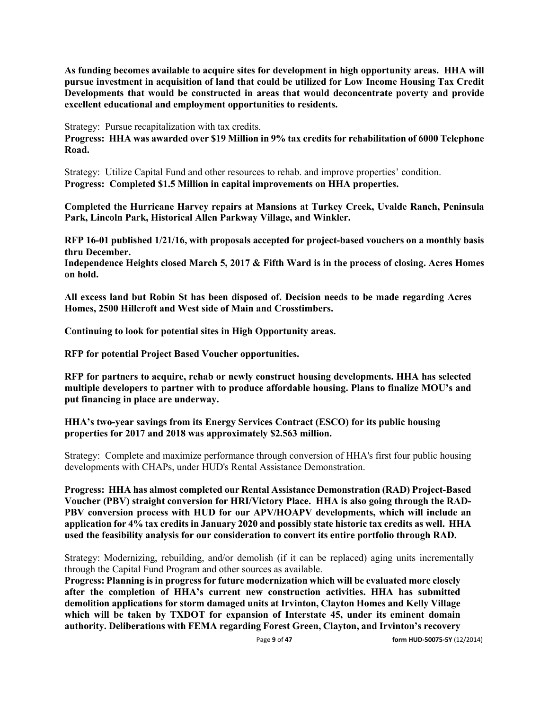**As funding becomes available to acquire sites for development in high opportunity areas. HHA will pursue investment in acquisition of land that could be utilized for Low Income Housing Tax Credit Developments that would be constructed in areas that would deconcentrate poverty and provide excellent educational and employment opportunities to residents.** 

Strategy: Pursue recapitalization with tax credits.

**Progress: HHA was awarded over \$19 Million in 9% tax credits for rehabilitation of 6000 Telephone Road.**

Strategy: Utilize Capital Fund and other resources to rehab. and improve properties' condition. **Progress: Completed \$1.5 Million in capital improvements on HHA properties.**

**Completed the Hurricane Harvey repairs at Mansions at Turkey Creek, Uvalde Ranch, Peninsula Park, Lincoln Park, Historical Allen Parkway Village, and Winkler.**

**RFP 16-01 published 1/21/16, with proposals accepted for project-based vouchers on a monthly basis thru December.**

**Independence Heights closed March 5, 2017 & Fifth Ward is in the process of closing. Acres Homes on hold.**

**All excess land but Robin St has been disposed of. Decision needs to be made regarding Acres Homes, 2500 Hillcroft and West side of Main and Crosstimbers.**

**Continuing to look for potential sites in High Opportunity areas.**

**RFP for potential Project Based Voucher opportunities.**

**RFP for partners to acquire, rehab or newly construct housing developments. HHA has selected multiple developers to partner with to produce affordable housing. Plans to finalize MOU's and put financing in place are underway.**

**HHA's two-year savings from its Energy Services Contract (ESCO) for its public housing properties for 2017 and 2018 was approximately \$2.563 million.**

Strategy: Complete and maximize performance through conversion of HHA's first four public housing developments with CHAPs, under HUD's Rental Assistance Demonstration.

**Progress: HHA has almost completed our Rental Assistance Demonstration (RAD) Project-Based Voucher (PBV) straight conversion for HRI/Victory Place. HHA is also going through the RAD-PBV conversion process with HUD for our APV/HOAPV developments, which will include an application for 4% tax credits in January 2020 and possibly state historic tax credits as well. HHA used the feasibility analysis for our consideration to convert its entire portfolio through RAD.** 

Strategy: Modernizing, rebuilding, and/or demolish (if it can be replaced) aging units incrementally through the Capital Fund Program and other sources as available.

**Progress: Planning is in progress for future modernization which will be evaluated more closely after the completion of HHA's current new construction activities. HHA has submitted demolition applications for storm damaged units at Irvinton, Clayton Homes and Kelly Village which will be taken by TXDOT for expansion of Interstate 45, under its eminent domain authority. Deliberations with FEMA regarding Forest Green, Clayton, and Irvinton's recovery**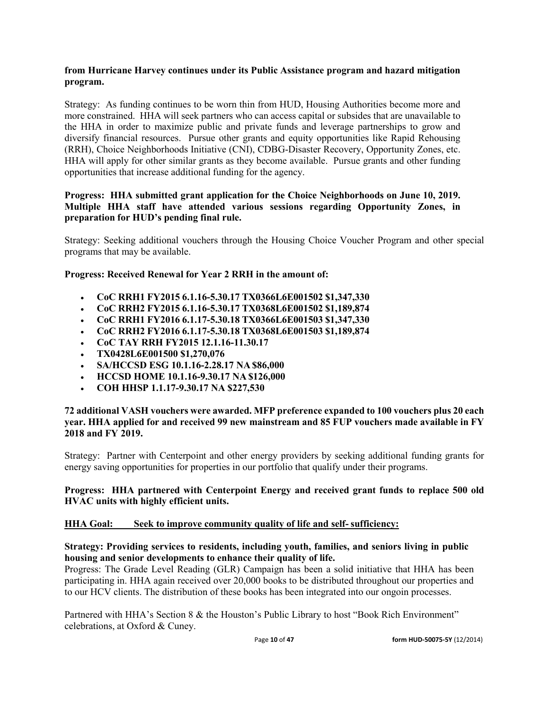### **from Hurricane Harvey continues under its Public Assistance program and hazard mitigation program.**

Strategy: As funding continues to be worn thin from HUD, Housing Authorities become more and more constrained. HHA will seek partners who can access capital or subsides that are unavailable to the HHA in order to maximize public and private funds and leverage partnerships to grow and diversify financial resources. Pursue other grants and equity opportunities like Rapid Rehousing (RRH), Choice Neighborhoods Initiative (CNI), CDBG-Disaster Recovery, Opportunity Zones, etc. HHA will apply for other similar grants as they become available. Pursue grants and other funding opportunities that increase additional funding for the agency.

### **Progress: HHA submitted grant application for the Choice Neighborhoods on June 10, 2019. Multiple HHA staff have attended various sessions regarding Opportunity Zones, in preparation for HUD's pending final rule.**

Strategy: Seeking additional vouchers through the Housing Choice Voucher Program and other special programs that may be available.

### **Progress: Received Renewal for Year 2 RRH in the amount of:**

- **CoC RRH1 FY2015 6.1.16-5.30.17 TX0366L6E001502 \$1,347,330**
- **CoC RRH2 FY2015 6.1.16-5.30.17 TX0368L6E001502 \$1,189,874**
- **CoC RRH1 FY2016 6.1.17-5.30.18 TX0366L6E001503 \$1,347,330**
- **CoC RRH2 FY2016 6.1.17-5.30.18 TX0368L6E001503 \$1,189,874**
- **CoC TAY RRH FY2015 12.1.16-11.30.17**
- **TX0428L6E001500 \$1,270,076**
- **SA/HCCSD ESG 10.1.16-2.28.17 NA \$86,000**
- **HCCSD HOME 10.1.16-9.30.17 NA \$126,000**
- **COH HHSP 1.1.17-9.30.17 NA \$227,530**

### **72 additional VASH vouchers were awarded. MFP preference expanded to 100 vouchers plus 20 each year. HHA applied for and received 99 new mainstream and 85 FUP vouchers made available in FY 2018 and FY 2019.**

Strategy: Partner with Centerpoint and other energy providers by seeking additional funding grants for energy saving opportunities for properties in our portfolio that qualify under their programs.

### **Progress: HHA partnered with Centerpoint Energy and received grant funds to replace 500 old HVAC units with highly efficient units.**

### **HHA Goal: Seek to improve community quality of life and self- sufficiency:**

### **Strategy: Providing services to residents, including youth, families, and seniors living in public housing and senior developments to enhance their quality of life.**

Progress: The Grade Level Reading (GLR) Campaign has been a solid initiative that HHA has been participating in. HHA again received over 20,000 books to be distributed throughout our properties and to our HCV clients. The distribution of these books has been integrated into our ongoin processes.

Partnered with HHA's Section 8 & the Houston's Public Library to host "Book Rich Environment" celebrations, at Oxford & Cuney.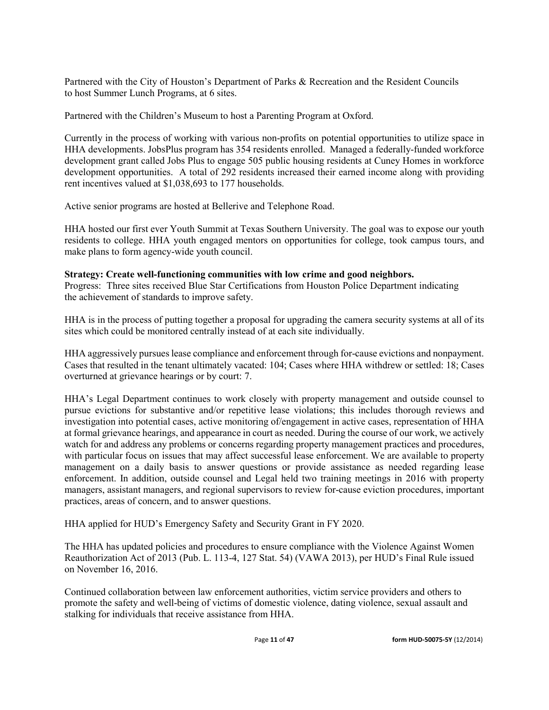Partnered with the City of Houston's Department of Parks & Recreation and the Resident Councils to host Summer Lunch Programs, at 6 sites.

Partnered with the Children's Museum to host a Parenting Program at Oxford.

Currently in the process of working with various non-profits on potential opportunities to utilize space in HHA developments. JobsPlus program has 354 residents enrolled. Managed a federally-funded workforce development grant called Jobs Plus to engage 505 public housing residents at Cuney Homes in workforce development opportunities. A total of 292 residents increased their earned income along with providing rent incentives valued at \$1,038,693 to 177 households.

Active senior programs are hosted at Bellerive and Telephone Road.

HHA hosted our first ever Youth Summit at Texas Southern University. The goal was to expose our youth residents to college. HHA youth engaged mentors on opportunities for college, took campus tours, and make plans to form agency-wide youth council.

### **Strategy: Create well-functioning communities with low crime and good neighbors.**

Progress: Three sites received Blue Star Certifications from Houston Police Department indicating the achievement of standards to improve safety.

HHA is in the process of putting together a proposal for upgrading the camera security systems at all of its sites which could be monitored centrally instead of at each site individually.

HHA aggressively pursues lease compliance and enforcement through for-cause evictions and nonpayment. Cases that resulted in the tenant ultimately vacated: 104; Cases where HHA withdrew or settled: 18; Cases overturned at grievance hearings or by court: 7.

HHA's Legal Department continues to work closely with property management and outside counsel to pursue evictions for substantive and/or repetitive lease violations; this includes thorough reviews and investigation into potential cases, active monitoring of/engagement in active cases, representation of HHA at formal grievance hearings, and appearance in court as needed. During the course of our work, we actively watch for and address any problems or concerns regarding property management practices and procedures, with particular focus on issues that may affect successful lease enforcement. We are available to property management on a daily basis to answer questions or provide assistance as needed regarding lease enforcement. In addition, outside counsel and Legal held two training meetings in 2016 with property managers, assistant managers, and regional supervisors to review for-cause eviction procedures, important practices, areas of concern, and to answer questions.

HHA applied for HUD's Emergency Safety and Security Grant in FY 2020.

The HHA has updated policies and procedures to ensure compliance with the Violence Against Women Reauthorization Act of 2013 (Pub. L. 113-4, 127 Stat. 54) (VAWA 2013), per HUD's Final Rule issued on November 16, 2016.

Continued collaboration between law enforcement authorities, victim service providers and others to promote the safety and well-being of victims of domestic violence, dating violence, sexual assault and stalking for individuals that receive assistance from HHA.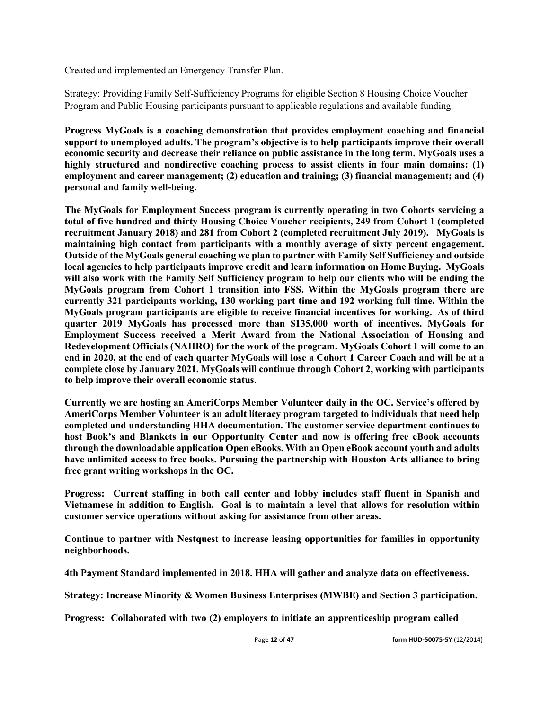Created and implemented an Emergency Transfer Plan.

Strategy: Providing Family Self-Sufficiency Programs for eligible Section 8 Housing Choice Voucher Program and Public Housing participants pursuant to applicable regulations and available funding.

**Progress MyGoals is a coaching demonstration that provides employment coaching and financial support to unemployed adults. The program's objective is to help participants improve their overall economic security and decrease their reliance on public assistance in the long term. MyGoals uses a highly structured and nondirective coaching process to assist clients in four main domains: (1) employment and career management; (2) education and training; (3) financial management; and (4) personal and family well-being.** 

**The MyGoals for Employment Success program is currently operating in two Cohorts servicing a total of five hundred and thirty Housing Choice Voucher recipients, 249 from Cohort 1 (completed recruitment January 2018) and 281 from Cohort 2 (completed recruitment July 2019). MyGoals is maintaining high contact from participants with a monthly average of sixty percent engagement. Outside of the MyGoals general coaching we plan to partner with Family Self Sufficiency and outside local agencies to help participants improve credit and learn information on Home Buying. MyGoals will also work with the Family Self Sufficiency program to help our clients who will be ending the MyGoals program from Cohort 1 transition into FSS. Within the MyGoals program there are currently 321 participants working, 130 working part time and 192 working full time. Within the MyGoals program participants are eligible to receive financial incentives for working. As of third quarter 2019 MyGoals has processed more than \$135,000 worth of incentives. MyGoals for Employment Success received a Merit Award from the National Association of Housing and Redevelopment Officials (NAHRO) for the work of the program. MyGoals Cohort 1 will come to an end in 2020, at the end of each quarter MyGoals will lose a Cohort 1 Career Coach and will be at a complete close by January 2021. MyGoals will continue through Cohort 2, working with participants to help improve their overall economic status.**

**Currently we are hosting an AmeriCorps Member Volunteer daily in the OC. Service's offered by AmeriCorps Member Volunteer is an adult literacy program targeted to individuals that need help completed and understanding HHA documentation. The customer service department continues to host Book's and Blankets in our Opportunity Center and now is offering free eBook accounts through the downloadable application Open eBooks. With an Open eBook account youth and adults have unlimited access to free books. Pursuing the partnership with Houston Arts alliance to bring free grant writing workshops in the OC.** 

**Progress: Current staffing in both call center and lobby includes staff fluent in Spanish and Vietnamese in addition to English. Goal is to maintain a level that allows for resolution within customer service operations without asking for assistance from other areas.**

**Continue to partner with Nestquest to increase leasing opportunities for families in opportunity neighborhoods.**

**4th Payment Standard implemented in 2018. HHA will gather and analyze data on effectiveness.**

**Strategy: Increase Minority & Women Business Enterprises (MWBE) and Section 3 participation.**

**Progress: Collaborated with two (2) employers to initiate an apprenticeship program called**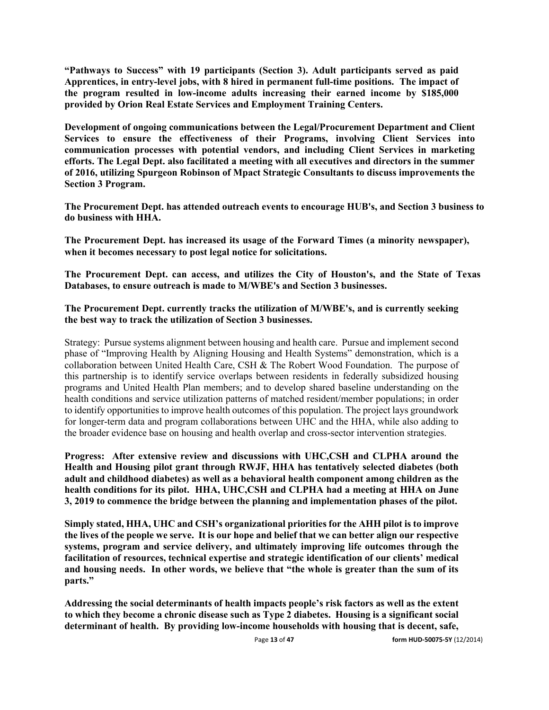**"Pathways to Success" with 19 participants (Section 3). Adult participants served as paid Apprentices, in entry-level jobs, with 8 hired in permanent full-time positions. The impact of the program resulted in low-income adults increasing their earned income by \$185,000 provided by Orion Real Estate Services and Employment Training Centers.**

**Development of ongoing communications between the Legal/Procurement Department and Client Services to ensure the effectiveness of their Programs, involving Client Services into communication processes with potential vendors, and including Client Services in marketing efforts. The Legal Dept. also facilitated a meeting with all executives and directors in the summer of 2016, utilizing Spurgeon Robinson of Mpact Strategic Consultants to discuss improvements the Section 3 Program.**

**The Procurement Dept. has attended outreach events to encourage HUB's, and Section 3 business to do business with HHA.**

**The Procurement Dept. has increased its usage of the Forward Times (a minority newspaper), when it becomes necessary to post legal notice for solicitations.**

**The Procurement Dept. can access, and utilizes the City of Houston's, and the State of Texas Databases, to ensure outreach is made to M/WBE's and Section 3 businesses.**

### **The Procurement Dept. currently tracks the utilization of M/WBE's, and is currently seeking the best way to track the utilization of Section 3 businesses.**

Strategy: Pursue systems alignment between housing and health care. Pursue and implement second phase of "Improving Health by Aligning Housing and Health Systems" demonstration, which is a collaboration between United Health Care, CSH & The Robert Wood Foundation. The purpose of this partnership is to identify service overlaps between residents in federally subsidized housing programs and United Health Plan members; and to develop shared baseline understanding on the health conditions and service utilization patterns of matched resident/member populations; in order to identify opportunities to improve health outcomes of this population. The project lays groundwork for longer-term data and program collaborations between UHC and the HHA, while also adding to the broader evidence base on housing and health overlap and cross-sector intervention strategies.

**Progress: After extensive review and discussions with UHC,CSH and CLPHA around the Health and Housing pilot grant through RWJF, HHA has tentatively selected diabetes (both adult and childhood diabetes) as well as a behavioral health component among children as the health conditions for its pilot. HHA, UHC,CSH and CLPHA had a meeting at HHA on June 3, 2019 to commence the bridge between the planning and implementation phases of the pilot.** 

**Simply stated, HHA, UHC and CSH's organizational priorities for the AHH pilot is to improve the lives of the people we serve. It is our hope and belief that we can better align our respective systems, program and service delivery, and ultimately improving life outcomes through the facilitation of resources, technical expertise and strategic identification of our clients' medical and housing needs. In other words, we believe that "the whole is greater than the sum of its parts."** 

**Addressing the social determinants of health impacts people's risk factors as well as the extent to which they become a chronic disease such as Type 2 diabetes. Housing is a significant social determinant of health. By providing low-income households with housing that is decent, safe,**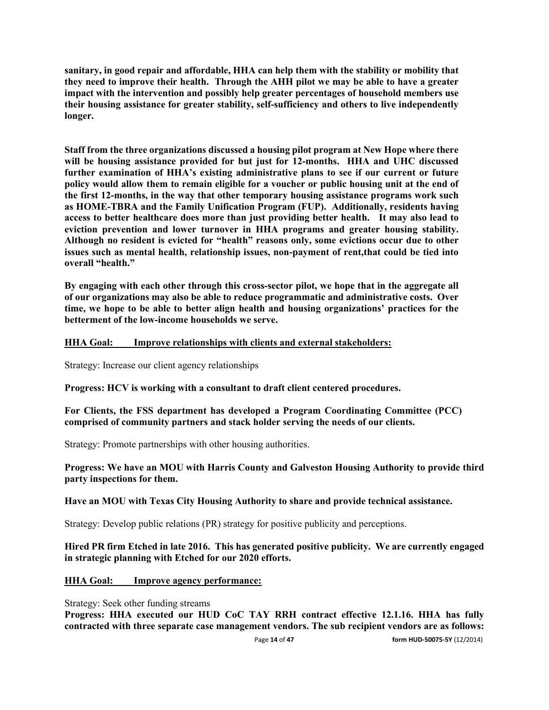**sanitary, in good repair and affordable, HHA can help them with the stability or mobility that they need to improve their health. Through the AHH pilot we may be able to have a greater impact with the intervention and possibly help greater percentages of household members use their housing assistance for greater stability, self-sufficiency and others to live independently longer.** 

**Staff from the three organizations discussed a housing pilot program at New Hope where there will be housing assistance provided for but just for 12-months. HHA and UHC discussed further examination of HHA's existing administrative plans to see if our current or future policy would allow them to remain eligible for a voucher or public housing unit at the end of the first 12-months, in the way that other temporary housing assistance programs work such as HOME-TBRA and the Family Unification Program (FUP). Additionally, residents having access to better healthcare does more than just providing better health. It may also lead to eviction prevention and lower turnover in HHA programs and greater housing stability. Although no resident is evicted for "health" reasons only, some evictions occur due to other issues such as mental health, relationship issues, non-payment of rent,that could be tied into overall "health."** 

**By engaging with each other through this cross-sector pilot, we hope that in the aggregate all of our organizations may also be able to reduce programmatic and administrative costs. Over time, we hope to be able to better align health and housing organizations' practices for the betterment of the low-income households we serve.** 

### **HHA Goal: Improve relationships with clients and external stakeholders:**

Strategy: Increase our client agency relationships

**Progress: HCV is working with a consultant to draft client centered procedures.**

**For Clients, the FSS department has developed a Program Coordinating Committee (PCC) comprised of community partners and stack holder serving the needs of our clients.**

Strategy: Promote partnerships with other housing authorities.

**Progress: We have an MOU with Harris County and Galveston Housing Authority to provide third party inspections for them.**

**Have an MOU with Texas City Housing Authority to share and provide technical assistance.**

Strategy: Develop public relations (PR) strategy for positive publicity and perceptions.

### **Hired PR firm Etched in late 2016. This has generated positive publicity. We are currently engaged in strategic planning with Etched for our 2020 efforts.**

### **HHA Goal: Improve agency performance:**

Strategy: Seek other funding streams

**Progress: HHA executed our HUD CoC TAY RRH contract effective 12.1.16. HHA has fully contracted with three separate case management vendors. The sub recipient vendors are as follows:**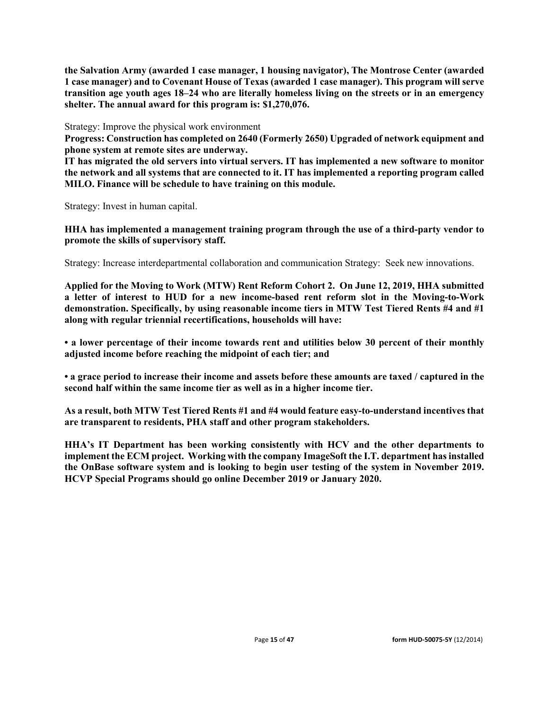**the Salvation Army (awarded 1 case manager, 1 housing navigator), The Montrose Center (awarded 1 case manager) and to Covenant House of Texas (awarded 1 case manager). This program will serve transition age youth ages 18–24 who are literally homeless living on the streets or in an emergency shelter. The annual award for this program is: \$1,270,076.**

Strategy: Improve the physical work environment

**Progress: Construction has completed on 2640 (Formerly 2650) Upgraded of network equipment and phone system at remote sites are underway.**

**IT has migrated the old servers into virtual servers. IT has implemented a new software to monitor the network and all systems that are connected to it. IT has implemented a reporting program called MILO. Finance will be schedule to have training on this module.**

Strategy: Invest in human capital.

**HHA has implemented a management training program through the use of a third-party vendor to promote the skills of supervisory staff.**

Strategy: Increase interdepartmental collaboration and communication Strategy: Seek new innovations.

**Applied for the Moving to Work (MTW) Rent Reform Cohort 2. On June 12, 2019, HHA submitted a letter of interest to HUD for a new income-based rent reform slot in the Moving-to-Work demonstration. Specifically, by using reasonable income tiers in MTW Test Tiered Rents #4 and #1 along with regular triennial recertifications, households will have:** 

**• a lower percentage of their income towards rent and utilities below 30 percent of their monthly adjusted income before reaching the midpoint of each tier; and** 

**• a grace period to increase their income and assets before these amounts are taxed / captured in the second half within the same income tier as well as in a higher income tier.** 

**As a result, both MTW Test Tiered Rents #1 and #4 would feature easy-to-understand incentives that are transparent to residents, PHA staff and other program stakeholders.** 

**HHA's IT Department has been working consistently with HCV and the other departments to implement the ECM project. Working with the company ImageSoft the I.T. department has installed the OnBase software system and is looking to begin user testing of the system in November 2019. HCVP Special Programs should go online December 2019 or January 2020.**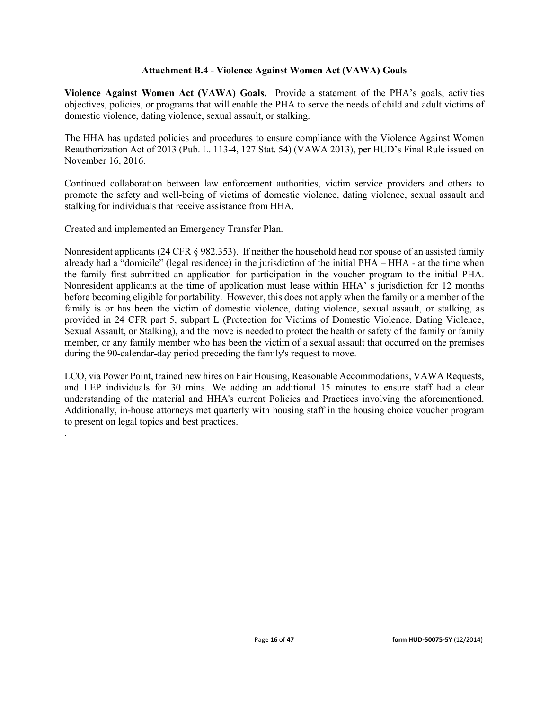### **Attachment B.4 - Violence Against Women Act (VAWA) Goals**

**Violence Against Women Act (VAWA) Goals.** Provide a statement of the PHA's goals, activities objectives, policies, or programs that will enable the PHA to serve the needs of child and adult victims of domestic violence, dating violence, sexual assault, or stalking.

The HHA has updated policies and procedures to ensure compliance with the Violence Against Women Reauthorization Act of 2013 (Pub. L. 113-4, 127 Stat. 54) (VAWA 2013), per HUD's Final Rule issued on November 16, 2016.

Continued collaboration between law enforcement authorities, victim service providers and others to promote the safety and well-being of victims of domestic violence, dating violence, sexual assault and stalking for individuals that receive assistance from HHA.

Created and implemented an Emergency Transfer Plan.

.

Nonresident applicants (24 CFR § 982.353). If neither the household head nor spouse of an assisted family already had a "domicile" (legal residence) in the jurisdiction of the initial PHA – HHA - at the time when the family first submitted an application for participation in the voucher program to the initial PHA. Nonresident applicants at the time of application must lease within HHA' s jurisdiction for 12 months before becoming eligible for portability. However, this does not apply when the family or a member of the family is or has been the victim of domestic violence, dating violence, sexual assault, or stalking, as provided in 24 CFR part 5, subpart L (Protection for Victims of Domestic Violence, Dating Violence, Sexual Assault, or Stalking), and the move is needed to protect the health or safety of the family or family member, or any family member who has been the victim of a sexual assault that occurred on the premises during the 90-calendar-day period preceding the family's request to move.

LCO, via Power Point, trained new hires on Fair Housing, Reasonable Accommodations, VAWA Requests, and LEP individuals for 30 mins. We adding an additional 15 minutes to ensure staff had a clear understanding of the material and HHA's current Policies and Practices involving the aforementioned. Additionally, in-house attorneys met quarterly with housing staff in the housing choice voucher program to present on legal topics and best practices.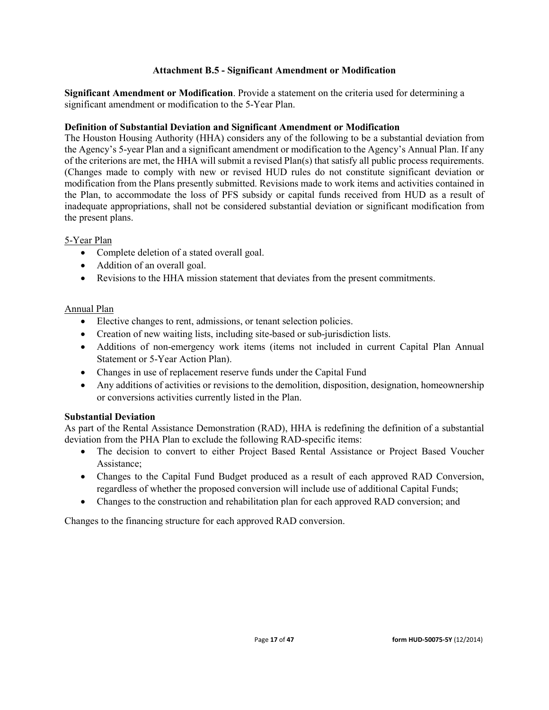### **Attachment B.5 - Significant Amendment or Modification**

**Significant Amendment or Modification**. Provide a statement on the criteria used for determining a significant amendment or modification to the 5-Year Plan.

### **Definition of Substantial Deviation and Significant Amendment or Modification**

The Houston Housing Authority (HHA) considers any of the following to be a substantial deviation from the Agency's 5-year Plan and a significant amendment or modification to the Agency's Annual Plan. If any of the criterions are met, the HHA will submit a revised Plan(s) that satisfy all public process requirements. (Changes made to comply with new or revised HUD rules do not constitute significant deviation or modification from the Plans presently submitted. Revisions made to work items and activities contained in the Plan, to accommodate the loss of PFS subsidy or capital funds received from HUD as a result of inadequate appropriations, shall not be considered substantial deviation or significant modification from the present plans.

### 5-Year Plan

- Complete deletion of a stated overall goal.
- Addition of an overall goal.
- Revisions to the HHA mission statement that deviates from the present commitments.

### Annual Plan

- Elective changes to rent, admissions, or tenant selection policies.
- Creation of new waiting lists, including site-based or sub-jurisdiction lists.
- Additions of non-emergency work items (items not included in current Capital Plan Annual Statement or 5-Year Action Plan).
- Changes in use of replacement reserve funds under the Capital Fund
- Any additions of activities or revisions to the demolition, disposition, designation, homeownership or conversions activities currently listed in the Plan.

### **Substantial Deviation**

As part of the Rental Assistance Demonstration (RAD), HHA is redefining the definition of a substantial deviation from the PHA Plan to exclude the following RAD-specific items:

- The decision to convert to either Project Based Rental Assistance or Project Based Voucher Assistance;
- Changes to the Capital Fund Budget produced as a result of each approved RAD Conversion, regardless of whether the proposed conversion will include use of additional Capital Funds;
- Changes to the construction and rehabilitation plan for each approved RAD conversion; and

Changes to the financing structure for each approved RAD conversion.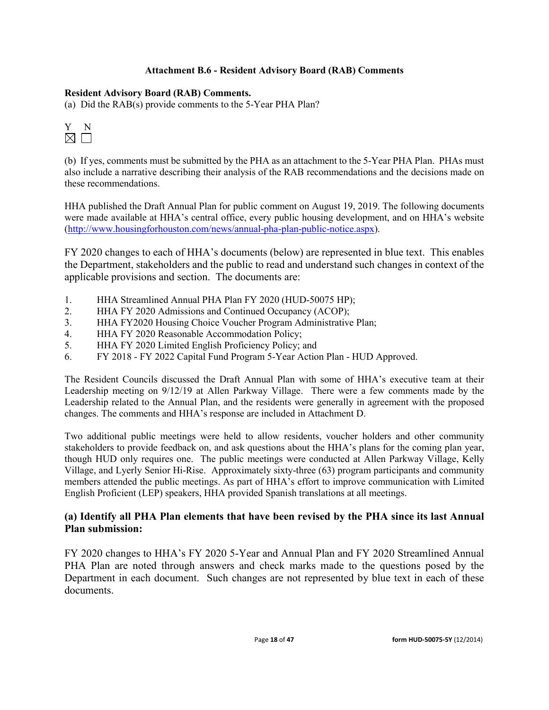### **Attachment B.6 - Resident Advisory Board (RAB) Comments**

### **Resident Advisory Board (RAB) Comments.**

(a) Did the RAB(s) provide comments to the 5-Year PHA Plan?



(b) If yes, comments must be submitted by the PHA as an attachment to the 5-Year PHA Plan. PHAs must also include a narrative describing their analysis of the RAB recommendations and the decisions made on these recommendations.

HHA published the Draft Annual Plan for public comment on August 19, 2019. The following documents were made available at HHA's central office, every public housing development, and on HHA's website [\(http://www.housingforhouston.com/news/annual-pha-plan-public-notice.aspx\)](http://www.housingforhouston.com/news/annual-pha-plan-public-notice.aspx).

FY 2020 changes to each of HHA's documents (below) are represented in blue text. This enables the Department, stakeholders and the public to read and understand such changes in context of the applicable provisions and section. The documents are:

- 1. HHA Streamlined Annual PHA Plan FY 2020 (HUD-50075 HP);
- 2. HHA FY 2020 Admissions and Continued Occupancy (ACOP);
- 3. HHA FY2020 Housing Choice Voucher Program Administrative Plan;
- 4. HHA FY 2020 Reasonable Accommodation Policy;
- 5. HHA FY 2020 Limited English Proficiency Policy; and
- 6. FY 2018 FY 2022 Capital Fund Program 5-Year Action Plan HUD Approved.

The Resident Councils discussed the Draft Annual Plan with some of HHA's executive team at their Leadership meeting on 9/12/19 at Allen Parkway Village. There were a few comments made by the Leadership related to the Annual Plan, and the residents were generally in agreement with the proposed changes. The comments and HHA's response are included in Attachment D.

Two additional public meetings were held to allow residents, voucher holders and other community stakeholders to provide feedback on, and ask questions about the HHA's plans for the coming plan year, though HUD only requires one. The public meetings were conducted at Allen Parkway Village, Kelly Village, and Lyerly Senior Hi-Rise. Approximately sixty-three (63) program participants and community members attended the public meetings. As part of HHA's effort to improve communication with Limited English Proficient (LEP) speakers, HHA provided Spanish translations at all meetings.

## **(a) Identify all PHA Plan elements that have been revised by the PHA since its last Annual Plan submission:**

FY 2020 changes to HHA's FY 2020 5-Year and Annual Plan and FY 2020 Streamlined Annual PHA Plan are noted through answers and check marks made to the questions posed by the Department in each document. Such changes are not represented by blue text in each of these documents.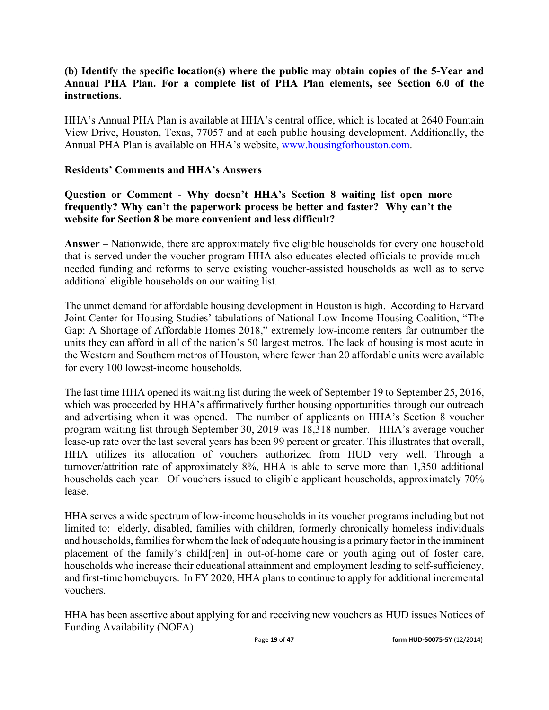## **(b) Identify the specific location(s) where the public may obtain copies of the 5-Year and Annual PHA Plan. For a complete list of PHA Plan elements, see Section 6.0 of the instructions.**

HHA's Annual PHA Plan is available at HHA's central office, which is located at 2640 Fountain View Drive, Houston, Texas, 77057 and at each public housing development. Additionally, the Annual PHA Plan is available on HHA's website, [www.housingforhouston.com.](http://www.housingforhouston.com/)

## **Residents' Comments and HHA's Answers**

## **Question or Comment** - **Why doesn't HHA's Section 8 waiting list open more frequently? Why can't the paperwork process be better and faster? Why can't the website for Section 8 be more convenient and less difficult?**

**Answer** – Nationwide, there are approximately five eligible households for every one household that is served under the voucher program HHA also educates elected officials to provide muchneeded funding and reforms to serve existing voucher-assisted households as well as to serve additional eligible households on our waiting list.

The unmet demand for affordable housing development in Houston is high. According to Harvard Joint Center for Housing Studies' tabulations of National Low-Income Housing Coalition, "The Gap: A Shortage of Affordable Homes 2018," extremely low-income renters far outnumber the units they can afford in all of the nation's 50 largest metros. The lack of housing is most acute in the Western and Southern metros of Houston, where fewer than 20 affordable units were available for every 100 lowest-income households.

The last time HHA opened its waiting list during the week of September 19 to September 25, 2016, which was proceeded by HHA's affirmatively further housing opportunities through our outreach and advertising when it was opened. The number of applicants on HHA's Section 8 voucher program waiting list through September 30, 2019 was 18,318 number. HHA's average voucher lease-up rate over the last several years has been 99 percent or greater. This illustrates that overall, HHA utilizes its allocation of vouchers authorized from HUD very well. Through a turnover/attrition rate of approximately 8%, HHA is able to serve more than 1,350 additional households each year. Of vouchers issued to eligible applicant households, approximately 70% lease.

HHA serves a wide spectrum of low-income households in its voucher programs including but not limited to: elderly, disabled, families with children, formerly chronically homeless individuals and households, families for whom the lack of adequate housing is a primary factor in the imminent placement of the family's child[ren] in out-of-home care or youth aging out of foster care, households who increase their educational attainment and employment leading to self-sufficiency, and first-time homebuyers. In FY 2020, HHA plans to continue to apply for additional incremental vouchers.

HHA has been assertive about applying for and receiving new vouchers as HUD issues Notices of Funding Availability (NOFA).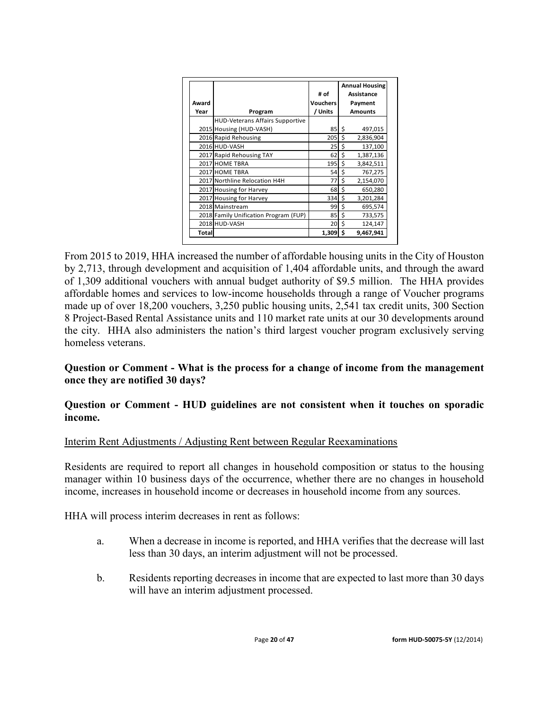|       |                                        |                 | <b>Annual Housing</b> |                |  |  |
|-------|----------------------------------------|-----------------|-----------------------|----------------|--|--|
|       |                                        | # of            |                       | Assistance     |  |  |
| Award |                                        | <b>Vouchers</b> |                       | Payment        |  |  |
| Year  | Program                                | / Units         |                       | <b>Amounts</b> |  |  |
|       | <b>HUD-Veterans Affairs Supportive</b> |                 |                       |                |  |  |
|       | 2015 Housing (HUD-VASH)                | 85              | \$                    | 497,015        |  |  |
|       | 2016 Rapid Rehousing                   | 205             | \$                    | 2,836,904      |  |  |
|       | 2016 HUD-VASH                          | 25              | \$                    | 137,100        |  |  |
|       | 2017 Rapid Rehousing TAY               | 62              | \$                    | 1,387,136      |  |  |
|       | 2017 HOME TBRA                         | 195             | \$                    | 3,842,511      |  |  |
|       | 2017 HOME TBRA                         | 54              | \$                    | 767,275        |  |  |
|       | 2017 Northline Relocation H4H          | 77              | \$                    | 2,154,070      |  |  |
|       | 2017 Housing for Harvey                | 68              | \$                    | 650,280        |  |  |
|       | 2017 Housing for Harvey                | 334             | \$                    | 3,201,284      |  |  |
|       | 2018 Mainstream                        | 99              | \$                    | 695,574        |  |  |
|       | 2018 Family Unification Program (FUP)  | 85              | \$                    | 733,575        |  |  |
|       | 2018 HUD-VASH                          | 20              | \$                    | 124,147        |  |  |
| Total |                                        | $1,309$ \$      |                       | 9,467,941      |  |  |

From 2015 to 2019, HHA increased the number of affordable housing units in the City of Houston by 2,713, through development and acquisition of 1,404 affordable units, and through the award of 1,309 additional vouchers with annual budget authority of \$9.5 million. The HHA provides affordable homes and services to low-income households through a range of Voucher programs made up of over 18,200 vouchers, 3,250 public housing units, 2,541 tax credit units, 300 Section 8 Project-Based Rental Assistance units and 110 market rate units at our 30 developments around the city. HHA also administers the nation's third largest voucher program exclusively serving homeless veterans.

## **Question or Comment - What is the process for a change of income from the management once they are notified 30 days?**

## **Question or Comment - HUD guidelines are not consistent when it touches on sporadic income.**

## Interim Rent Adjustments / Adjusting Rent between Regular Reexaminations

Residents are required to report all changes in household composition or status to the housing manager within 10 business days of the occurrence, whether there are no changes in household income, increases in household income or decreases in household income from any sources.

HHA will process interim decreases in rent as follows:

- a. When a decrease in income is reported, and HHA verifies that the decrease will last less than 30 days, an interim adjustment will not be processed.
- b. Residents reporting decreases in income that are expected to last more than 30 days will have an interim adjustment processed.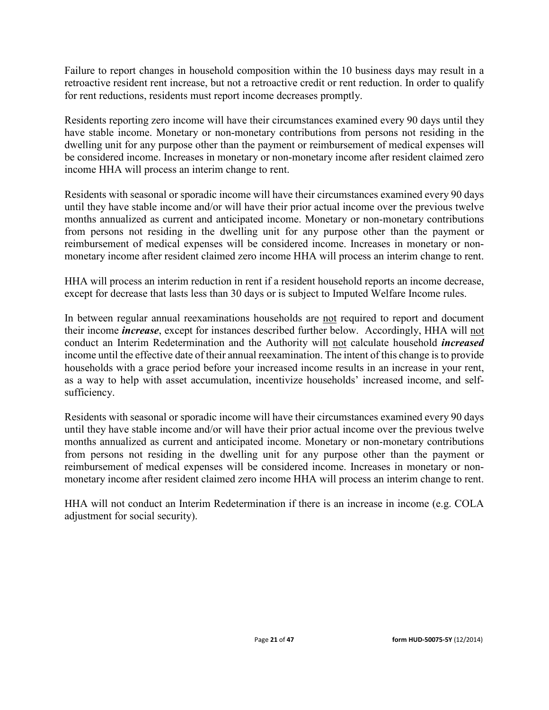Failure to report changes in household composition within the 10 business days may result in a retroactive resident rent increase, but not a retroactive credit or rent reduction. In order to qualify for rent reductions, residents must report income decreases promptly.

Residents reporting zero income will have their circumstances examined every 90 days until they have stable income. Monetary or non-monetary contributions from persons not residing in the dwelling unit for any purpose other than the payment or reimbursement of medical expenses will be considered income. Increases in monetary or non-monetary income after resident claimed zero income HHA will process an interim change to rent.

Residents with seasonal or sporadic income will have their circumstances examined every 90 days until they have stable income and/or will have their prior actual income over the previous twelve months annualized as current and anticipated income. Monetary or non-monetary contributions from persons not residing in the dwelling unit for any purpose other than the payment or reimbursement of medical expenses will be considered income. Increases in monetary or nonmonetary income after resident claimed zero income HHA will process an interim change to rent.

HHA will process an interim reduction in rent if a resident household reports an income decrease, except for decrease that lasts less than 30 days or is subject to Imputed Welfare Income rules.

In between regular annual reexaminations households are not required to report and document their income *increase*, except for instances described further below. Accordingly, HHA will not conduct an Interim Redetermination and the Authority will not calculate household *increased*  income until the effective date of their annual reexamination. The intent of this change is to provide households with a grace period before your increased income results in an increase in your rent, as a way to help with asset accumulation, incentivize households' increased income, and selfsufficiency.

Residents with seasonal or sporadic income will have their circumstances examined every 90 days until they have stable income and/or will have their prior actual income over the previous twelve months annualized as current and anticipated income. Monetary or non-monetary contributions from persons not residing in the dwelling unit for any purpose other than the payment or reimbursement of medical expenses will be considered income. Increases in monetary or nonmonetary income after resident claimed zero income HHA will process an interim change to rent.

HHA will not conduct an Interim Redetermination if there is an increase in income (e.g. COLA adjustment for social security).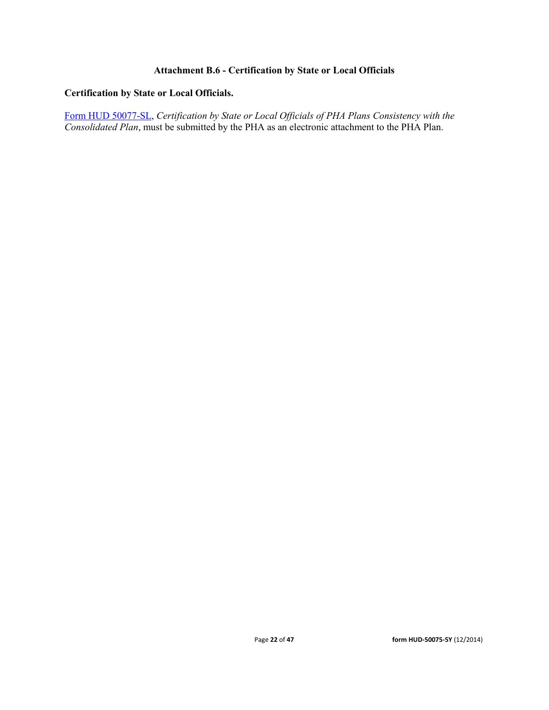## **Attachment B.6 - Certification by State or Local Officials**

### **Certification by State or Local Officials.**

[Form HUD 50077-SL,](http://www.hud.gov/offices/adm/hudclips/forms/files/50077sl.doc) *Certification by State or Local Officials of PHA Plans Consistency with the Consolidated Plan*, must be submitted by the PHA as an electronic attachment to the PHA Plan.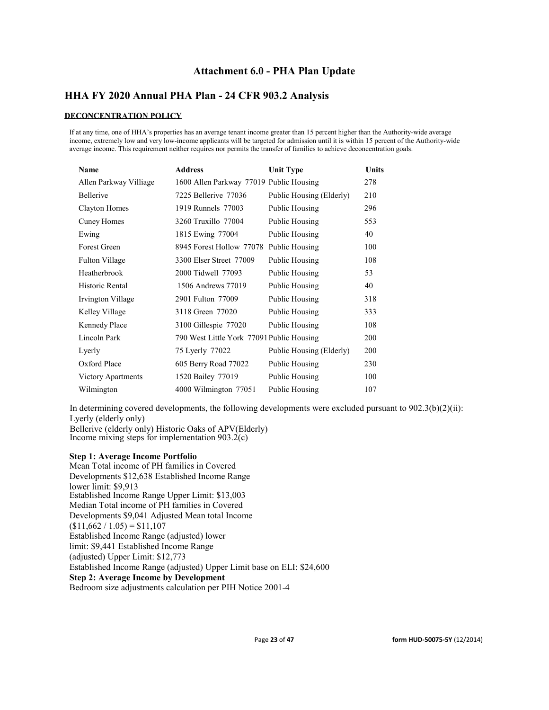## **Attachment 6.0 - PHA Plan Update**

## **HHA FY 2020 Annual PHA Plan - 24 CFR 903.2 Analysis**

### **DECONCENTRATION POLICY**

If at any time, one of HHA's properties has an average tenant income greater than 15 percent higher than the Authority-wide average income, extremely low and very low-income applicants will be targeted for admission until it is within 15 percent of the Authority-wide average income. This requirement neither requires nor permits the transfer of families to achieve deconcentration goals.

| <b>Name</b>            | <b>Address</b>                            | <b>Unit Type</b>         | <b>Units</b> |
|------------------------|-------------------------------------------|--------------------------|--------------|
| Allen Parkway Villiage | 1600 Allen Parkway 77019 Public Housing   |                          | 278          |
| <b>Bellerive</b>       | 7225 Bellerive 77036                      | Public Housing (Elderly) | 210          |
| Clayton Homes          | 1919 Runnels 77003                        | Public Housing           | 296          |
| Cuney Homes            | 3260 Truxillo 77004                       | Public Housing           | 553          |
| Ewing                  | 1815 Ewing 77004                          | Public Housing           | 40           |
| Forest Green           | 8945 Forest Hollow 77078                  | Public Housing           | 100          |
| <b>Fulton Village</b>  | 3300 Elser Street 77009                   | Public Housing           | 108          |
| Heatherbrook           | 2000 Tidwell 77093                        | Public Housing           | 53           |
| Historic Rental        | 1506 Andrews 77019                        | Public Housing           | 40           |
| Irvington Village      | 2901 Fulton 77009                         | Public Housing           | 318          |
| Kelley Village         | 3118 Green 77020                          | Public Housing           | 333          |
| <b>Kennedy Place</b>   | 3100 Gillespie 77020                      | Public Housing           | 108          |
| Lincoln Park           | 790 West Little York 77091 Public Housing |                          | 200          |
| Lyerly                 | 75 Lyerly 77022                           | Public Housing (Elderly) | 200          |
| Oxford Place           | 605 Berry Road 77022                      | Public Housing           | 230          |
| Victory Apartments     | 1520 Bailey 77019                         | Public Housing           | 100          |
| Wilmington             | 4000 Wilmington 77051                     | Public Housing           | 107          |

In determining covered developments, the following developments were excluded pursuant to 902.3(b)(2)(ii): Lyerly (elderly only) Bellerive (elderly only) Historic Oaks of APV(Elderly)

Income mixing steps for implementation  $903.2(c)$ 

#### **Step 1: Average Income Portfolio**

Mean Total income of PH families in Covered Developments \$12,638 Established Income Range lower limit: \$9,913 Established Income Range Upper Limit: \$13,003 Median Total income of PH families in Covered Developments \$9,041 Adjusted Mean total Income  $$11,662 / 1.05$  = \$11,107 Established Income Range (adjusted) lower limit: \$9,441 Established Income Range (adjusted) Upper Limit: \$12,773 Established Income Range (adjusted) Upper Limit base on ELI: \$24,600 **Step 2: Average Income by Development** Bedroom size adjustments calculation per PIH Notice 2001-4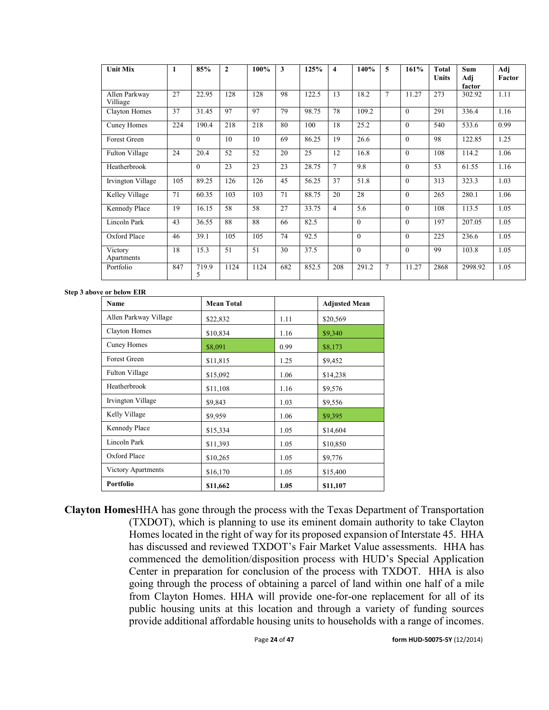| <b>Unit Mix</b>           |     | 85%        | $\mathbf{2}$ | 100% | 3   | 125%  | 4              | 140%     | 5              | 161%         | <b>Total</b><br><b>Units</b> | Sum<br>Adj<br>factor | Adj<br>Factor |
|---------------------------|-----|------------|--------------|------|-----|-------|----------------|----------|----------------|--------------|------------------------------|----------------------|---------------|
| Allen Parkway<br>Villiage | 27  | 22.95      | 128          | 128  | 98  | 122.5 | 13             | 18.2     | $\overline{7}$ | 11.27        | 273                          | 302.92               | 1.11          |
| <b>Clayton Homes</b>      | 37  | 31.45      | 97           | 97   | 79  | 98.75 | 78             | 109.2    |                | $\mathbf{0}$ | 291                          | 336.4                | 1.16          |
| Cuney Homes               | 224 | 190.4      | 218          | 218  | 80  | 100   | 18             | 25.2     |                | $\mathbf{0}$ | 540                          | 533.6                | 0.99          |
| Forest Green              |     | $\theta$   | 10           | 10   | 69  | 86.25 | 19             | 26.6     |                | $\theta$     | 98                           | 122.85               | 1.25          |
| Fulton Village            | 24  | 20.4       | 52           | 52   | 20  | 25    | 12             | 16.8     |                | $\theta$     | 108                          | 114.2                | 1.06          |
| Heatherbrook              |     | $\theta$   | 23           | 23   | 23  | 28.75 | $\tau$         | 9.8      |                | $\mathbf{0}$ | 53                           | 61.55                | 1.16          |
| Irvington Village         | 105 | 89.25      | 126          | 126  | 45  | 56.25 | 37             | 51.8     |                | $\theta$     | 313                          | 323.3                | 1.03          |
| Kelley Village            | 71  | 60.35      | 103          | 103  | 71  | 88.75 | 20             | 28       |                | $\mathbf{0}$ | 265                          | 280.1                | 1.06          |
| Kennedy Place             | 19  | 16.15      | 58           | 58   | 27  | 33.75 | $\overline{4}$ | 5.6      |                | $\mathbf{0}$ | 108                          | 113.5                | 1.05          |
| Lincoln Park              | 43  | 36.55      | 88           | 88   | 66  | 82.5  |                | $\Omega$ |                | $\theta$     | 197                          | 207.05               | 1.05          |
| Oxford Place              | 46  | 39.1       | 105          | 105  | 74  | 92.5  |                | $\Omega$ |                | $\theta$     | 225                          | 236.6                | 1.05          |
| Victory<br>Apartments     | 18  | 15.3       | 51           | 51   | 30  | 37.5  |                | $\theta$ |                | $\theta$     | 99                           | 103.8                | 1.05          |
| Portfolio                 | 847 | 719.9<br>5 | 1124         | 1124 | 682 | 852.5 | 208            | 291.2    | $\overline{7}$ | 11.27        | 2868                         | 2998.92              | 1.05          |

#### **Step 3 above or below EIR**

| Name                  | <b>Mean Total</b> |      | <b>Adjusted Mean</b> |
|-----------------------|-------------------|------|----------------------|
| Allen Parkway Village | \$22,832          | 1.11 | \$20,569             |
| <b>Clayton Homes</b>  | \$10,834          | 1.16 | \$9,340              |
| Cuney Homes           | \$8,091           | 0.99 | \$8,173              |
| Forest Green          | \$11,815          | 1.25 | \$9,452              |
| Fulton Village        | \$15,092          | 1.06 | \$14,238             |
| Heatherbrook          | \$11,108          | 1.16 | \$9,576              |
| Irvington Village     | \$9,843           | 1.03 | \$9,556              |
| Kelly Village         | \$9,959           | 1.06 | \$9,395              |
| Kennedy Place         | \$15,334          | 1.05 | \$14,604             |
| Lincoln Park          | \$11,393          | 1.05 | \$10,850             |
| Oxford Place          | \$10,265          | 1.05 | \$9,776              |
| Victory Apartments    | \$16,170          | 1.05 | \$15,400             |
| Portfolio             | \$11,662          | 1.05 | \$11,107             |

**Clayton Homes**HHA has gone through the process with the Texas Department of Transportation (TXDOT), which is planning to use its eminent domain authority to take Clayton Homes located in the right of way for its proposed expansion of Interstate 45. HHA has discussed and reviewed TXDOT's Fair Market Value assessments. HHA has commenced the demolition/disposition process with HUD's Special Application Center in preparation for conclusion of the process with TXDOT. HHA is also going through the process of obtaining a parcel of land within one half of a mile from Clayton Homes. HHA will provide one-for-one replacement for all of its public housing units at this location and through a variety of funding sources provide additional affordable housing units to households with a range of incomes.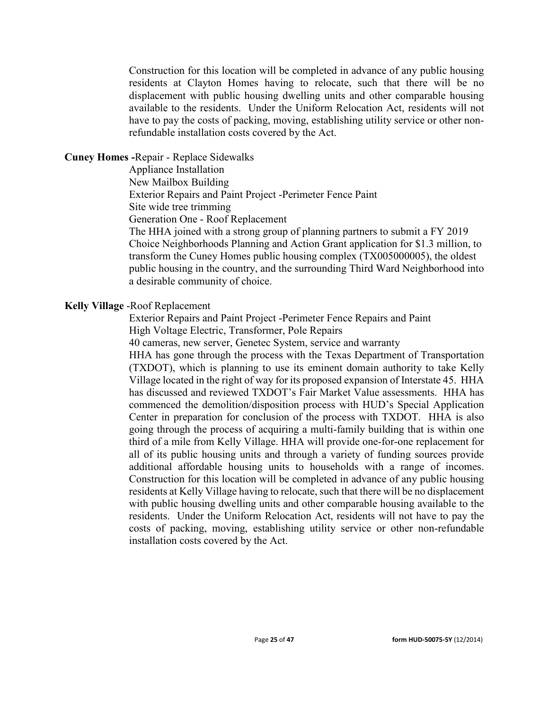Construction for this location will be completed in advance of any public housing residents at Clayton Homes having to relocate, such that there will be no displacement with public housing dwelling units and other comparable housing available to the residents. Under the Uniform Relocation Act, residents will not have to pay the costs of packing, moving, establishing utility service or other nonrefundable installation costs covered by the Act.

## **Cuney Homes -**Repair - Replace Sidewalks

Appliance Installation

New Mailbox Building

Exterior Repairs and Paint Project -Perimeter Fence Paint

Site wide tree trimming

Generation One - Roof Replacement

The HHA joined with a strong group of planning partners to submit a FY 2019 Choice Neighborhoods Planning and Action Grant application for \$1.3 million, to transform the Cuney Homes public housing complex (TX005000005), the oldest public housing in the country, and the surrounding Third Ward Neighborhood into a desirable community of choice.

## **Kelly Village** -Roof Replacement

Exterior Repairs and Paint Project -Perimeter Fence Repairs and Paint

High Voltage Electric, Transformer, Pole Repairs

40 cameras, new server, Genetec System, service and warranty

HHA has gone through the process with the Texas Department of Transportation (TXDOT), which is planning to use its eminent domain authority to take Kelly Village located in the right of way for its proposed expansion of Interstate 45. HHA has discussed and reviewed TXDOT's Fair Market Value assessments. HHA has commenced the demolition/disposition process with HUD's Special Application Center in preparation for conclusion of the process with TXDOT. HHA is also going through the process of acquiring a multi-family building that is within one third of a mile from Kelly Village. HHA will provide one-for-one replacement for all of its public housing units and through a variety of funding sources provide additional affordable housing units to households with a range of incomes. Construction for this location will be completed in advance of any public housing residents at Kelly Village having to relocate, such that there will be no displacement with public housing dwelling units and other comparable housing available to the residents. Under the Uniform Relocation Act, residents will not have to pay the costs of packing, moving, establishing utility service or other non-refundable installation costs covered by the Act.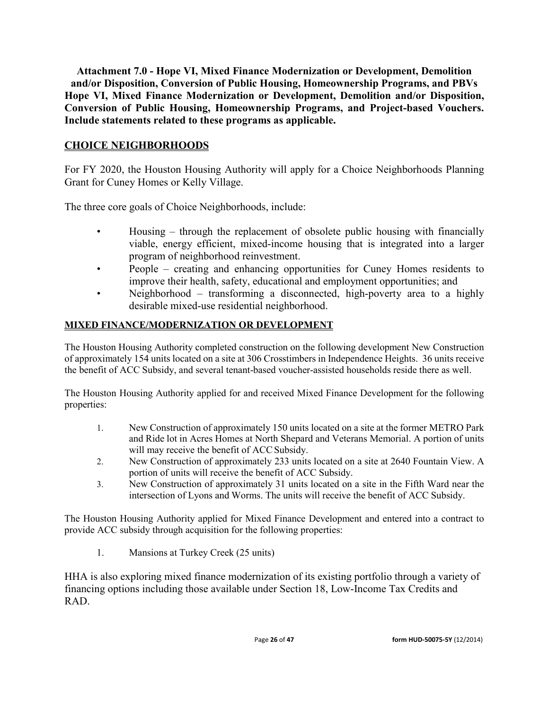**Attachment 7.0 - Hope VI, Mixed Finance Modernization or Development, Demolition and/or Disposition, Conversion of Public Housing, Homeownership Programs, and PBVs Hope VI, Mixed Finance Modernization or Development, Demolition and/or Disposition, Conversion of Public Housing, Homeownership Programs, and Project-based Vouchers. Include statements related to these programs as applicable.**

## **CHOICE NEIGHBORHOODS**

For FY 2020, the Houston Housing Authority will apply for a Choice Neighborhoods Planning Grant for Cuney Homes or Kelly Village.

The three core goals of Choice Neighborhoods, include:

- Housing through the replacement of obsolete public housing with financially viable, energy efficient, mixed-income housing that is integrated into a larger program of neighborhood reinvestment.
- People creating and enhancing opportunities for Cuney Homes residents to improve their health, safety, educational and employment opportunities; and
- Neighborhood transforming a disconnected, high-poverty area to a highly desirable mixed-use residential neighborhood.

## **MIXED FINANCE/MODERNIZATION OR DEVELOPMENT**

The Houston Housing Authority completed construction on the following development New Construction of approximately 154 units located on a site at 306 Crosstimbers in Independence Heights. 36 units receive the benefit of ACC Subsidy, and several tenant-based voucher-assisted households reside there as well.

The Houston Housing Authority applied for and received Mixed Finance Development for the following properties:

- 1. New Construction of approximately 150 units located on a site at the former METRO Park and Ride lot in Acres Homes at North Shepard and Veterans Memorial. A portion of units will may receive the benefit of ACC Subsidy.
- 2. New Construction of approximately 233 units located on a site at 2640 Fountain View. A portion of units will receive the benefit of ACC Subsidy.
- 3. New Construction of approximately 31 units located on a site in the Fifth Ward near the intersection of Lyons and Worms. The units will receive the benefit of ACC Subsidy.

The Houston Housing Authority applied for Mixed Finance Development and entered into a contract to provide ACC subsidy through acquisition for the following properties:

1. Mansions at Turkey Creek (25 units)

HHA is also exploring mixed finance modernization of its existing portfolio through a variety of financing options including those available under Section 18, Low-Income Tax Credits and RAD.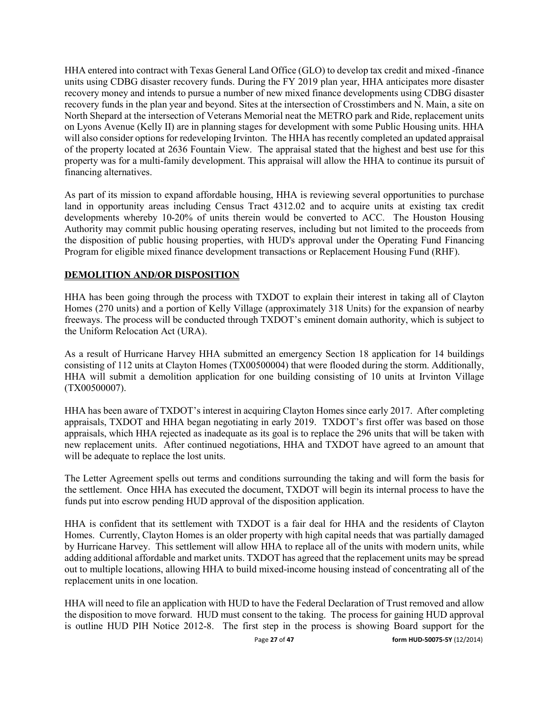HHA entered into contract with Texas General Land Office (GLO) to develop tax credit and mixed -finance units using CDBG disaster recovery funds. During the FY 2019 plan year, HHA anticipates more disaster recovery money and intends to pursue a number of new mixed finance developments using CDBG disaster recovery funds in the plan year and beyond. Sites at the intersection of Crosstimbers and N. Main, a site on North Shepard at the intersection of Veterans Memorial neat the METRO park and Ride, replacement units on Lyons Avenue (Kelly II) are in planning stages for development with some Public Housing units. HHA will also consider options for redeveloping Irvinton. The HHA has recently completed an updated appraisal of the property located at 2636 Fountain View. The appraisal stated that the highest and best use for this property was for a multi-family development. This appraisal will allow the HHA to continue its pursuit of financing alternatives.

As part of its mission to expand affordable housing, HHA is reviewing several opportunities to purchase land in opportunity areas including Census Tract 4312.02 and to acquire units at existing tax credit developments whereby 10-20% of units therein would be converted to ACC. The Houston Housing Authority may commit public housing operating reserves, including but not limited to the proceeds from the disposition of public housing properties, with HUD's approval under the Operating Fund Financing Program for eligible mixed finance development transactions or Replacement Housing Fund (RHF).

## **DEMOLITION AND/OR DISPOSITION**

HHA has been going through the process with TXDOT to explain their interest in taking all of Clayton Homes (270 units) and a portion of Kelly Village (approximately 318 Units) for the expansion of nearby freeways. The process will be conducted through TXDOT's eminent domain authority, which is subject to the Uniform Relocation Act (URA).

As a result of Hurricane Harvey HHA submitted an emergency Section 18 application for 14 buildings consisting of 112 units at Clayton Homes (TX00500004) that were flooded during the storm. Additionally, HHA will submit a demolition application for one building consisting of 10 units at Irvinton Village (TX00500007).

HHA has been aware of TXDOT's interest in acquiring Clayton Homes since early 2017. After completing appraisals, TXDOT and HHA began negotiating in early 2019. TXDOT's first offer was based on those appraisals, which HHA rejected as inadequate as its goal is to replace the 296 units that will be taken with new replacement units. After continued negotiations, HHA and TXDOT have agreed to an amount that will be adequate to replace the lost units.

The Letter Agreement spells out terms and conditions surrounding the taking and will form the basis for the settlement. Once HHA has executed the document, TXDOT will begin its internal process to have the funds put into escrow pending HUD approval of the disposition application.

HHA is confident that its settlement with TXDOT is a fair deal for HHA and the residents of Clayton Homes. Currently, Clayton Homes is an older property with high capital needs that was partially damaged by Hurricane Harvey. This settlement will allow HHA to replace all of the units with modern units, while adding additional affordable and market units. TXDOT has agreed that the replacement units may be spread out to multiple locations, allowing HHA to build mixed-income housing instead of concentrating all of the replacement units in one location.

HHA will need to file an application with HUD to have the Federal Declaration of Trust removed and allow the disposition to move forward. HUD must consent to the taking. The process for gaining HUD approval is outline HUD PIH Notice 2012-8. The first step in the process is showing Board support for the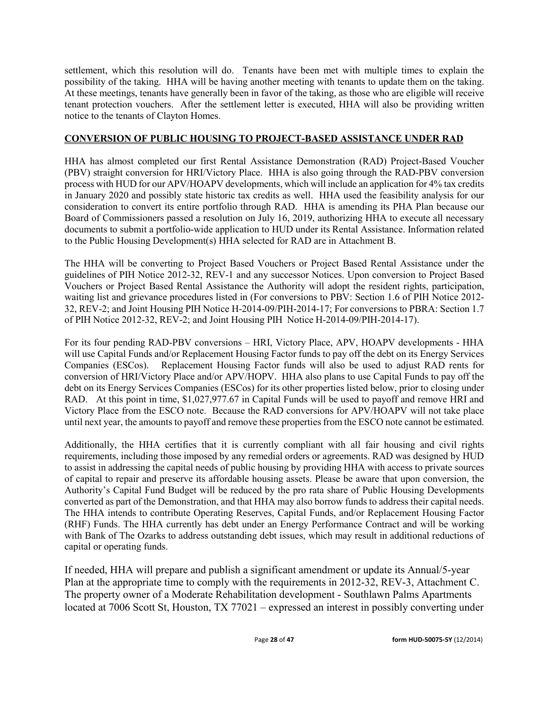settlement, which this resolution will do. Tenants have been met with multiple times to explain the possibility of the taking. HHA will be having another meeting with tenants to update them on the taking. At these meetings, tenants have generally been in favor of the taking, as those who are eligible will receive tenant protection vouchers. After the settlement letter is executed, HHA will also be providing written notice to the tenants of Clayton Homes.

## **CONVERSION OF PUBLIC HOUSING TO PROJECT-BASED ASSISTANCE UNDER RAD**

HHA has almost completed our first Rental Assistance Demonstration (RAD) Project-Based Voucher (PBV) straight conversion for HRI/Victory Place. HHA is also going through the RAD-PBV conversion process with HUD for our APV/HOAPV developments, which will include an application for 4% tax credits in January 2020 and possibly state historic tax credits as well. HHA used the feasibility analysis for our consideration to convert its entire portfolio through RAD. HHA is amending its PHA Plan because our Board of Commissioners passed a resolution on July 16, 2019, authorizing HHA to execute all necessary documents to submit a portfolio-wide application to HUD under its Rental Assistance. Information related to the Public Housing Development(s) HHA selected for RAD are in Attachment B.

The HHA will be converting to Project Based Vouchers or Project Based Rental Assistance under the guidelines of PIH Notice 2012-32, REV-1 and any successor Notices. Upon conversion to Project Based Vouchers or Project Based Rental Assistance the Authority will adopt the resident rights, participation, waiting list and grievance procedures listed in (For conversions to PBV: Section 1.6 of PIH Notice 2012- 32, REV-2; and Joint Housing PIH Notice H-2014-09/PIH-2014-17; For conversions to PBRA: Section 1.7 of PIH Notice 2012-32, REV-2; and Joint Housing PIH Notice H-2014-09/PIH-2014-17).

For its four pending RAD-PBV conversions – HRI, Victory Place, APV, HOAPV developments - HHA will use Capital Funds and/or Replacement Housing Factor funds to pay off the debt on its Energy Services Companies (ESCos). Replacement Housing Factor funds will also be used to adjust RAD rents for conversion of HRI/Victory Place and/or APV/HOPV. HHA also plans to use Capital Funds to pay off the debt on its Energy Services Companies (ESCos) for its other properties listed below, prior to closing under RAD. At this point in time, \$1,027,977.67 in Capital Funds will be used to payoff and remove HRI and Victory Place from the ESCO note. Because the RAD conversions for APV/HOAPV will not take place until next year, the amounts to payoff and remove these properties from the ESCO note cannot be estimated.

Additionally, the HHA certifies that it is currently compliant with all fair housing and civil rights requirements, including those imposed by any remedial orders or agreements. RAD was designed by HUD to assist in addressing the capital needs of public housing by providing HHA with access to private sources of capital to repair and preserve its affordable housing assets. Please be aware that upon conversion, the Authority's Capital Fund Budget will be reduced by the pro rata share of Public Housing Developments converted as part of the Demonstration, and that HHA may also borrow funds to address their capital needs. The HHA intends to contribute Operating Reserves, Capital Funds, and/or Replacement Housing Factor (RHF) Funds. The HHA currently has debt under an Energy Performance Contract and will be working with Bank of The Ozarks to address outstanding debt issues, which may result in additional reductions of capital or operating funds.

If needed, HHA will prepare and publish a significant amendment or update its Annual/5-year Plan at the appropriate time to comply with the requirements in 2012-32, REV-3, Attachment C. The property owner of a Moderate Rehabilitation development - Southlawn Palms Apartments located at 7006 Scott St, Houston, TX 77021 – expressed an interest in possibly converting under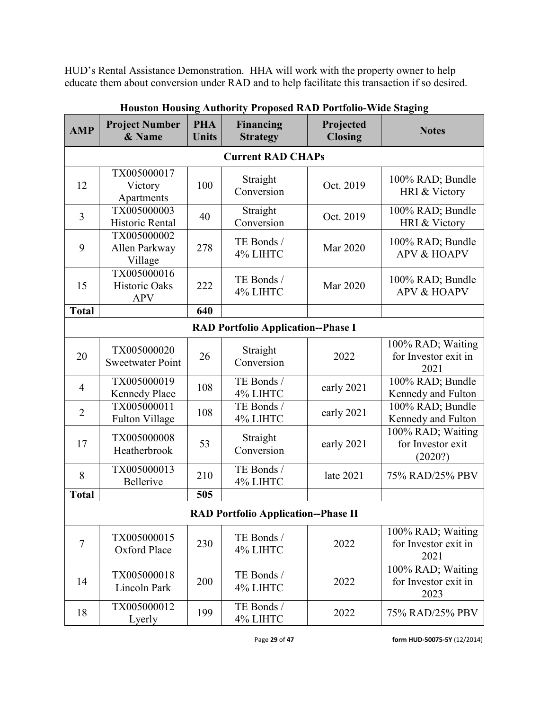HUD's Rental Assistance Demonstration. HHA will work with the property owner to help educate them about conversion under RAD and to help facilitate this transaction if so desired.

| <b>AMP</b>                                | <b>Project Number</b><br>& Name            | <b>PHA</b><br><b>Units</b> | <b>Financing</b><br><b>Strategy</b>        | Projected<br><b>Closing</b> | <b>Notes</b>                                      |  |  |  |  |
|-------------------------------------------|--------------------------------------------|----------------------------|--------------------------------------------|-----------------------------|---------------------------------------------------|--|--|--|--|
|                                           |                                            |                            | <b>Current RAD CHAPs</b>                   |                             |                                                   |  |  |  |  |
| 12                                        | TX005000017<br>Victory<br>Apartments       | 100                        | Straight<br>Conversion                     | Oct. 2019                   | 100% RAD; Bundle<br>HRI & Victory                 |  |  |  |  |
| $\overline{3}$                            | TX005000003<br>Historic Rental             | 40                         | Straight<br>Conversion                     | Oct. 2019                   | 100% RAD; Bundle<br>HRI & Victory                 |  |  |  |  |
| 9                                         | TX005000002<br>Allen Parkway<br>Village    | 278                        | TE Bonds /<br>4% LIHTC                     | Mar 2020                    | 100% RAD; Bundle<br><b>APV &amp; HOAPV</b>        |  |  |  |  |
| 15                                        | TX005000016<br>Historic Oaks<br><b>APV</b> | 222                        | TE Bonds /<br>4% LIHTC                     | Mar 2020                    | 100% RAD; Bundle<br><b>APV &amp; HOAPV</b>        |  |  |  |  |
| <b>Total</b>                              |                                            | 640                        |                                            |                             |                                                   |  |  |  |  |
| <b>RAD Portfolio Application--Phase I</b> |                                            |                            |                                            |                             |                                                   |  |  |  |  |
| 20                                        | TX005000020<br><b>Sweetwater Point</b>     | 26                         | Straight<br>Conversion                     | 2022                        | 100% RAD; Waiting<br>for Investor exit in<br>2021 |  |  |  |  |
| $\overline{4}$                            | TX005000019<br><b>Kennedy Place</b>        | 108                        | TE Bonds /<br>4% LIHTC                     | early 2021                  | 100% RAD; Bundle<br>Kennedy and Fulton            |  |  |  |  |
| $\overline{2}$                            | TX005000011<br><b>Fulton Village</b>       | 108                        | TE Bonds /<br>4% LIHTC                     | early 2021                  | 100% RAD; Bundle<br>Kennedy and Fulton            |  |  |  |  |
| 17                                        | TX005000008<br>Heatherbrook                | 53                         | Straight<br>Conversion                     | early 2021                  | 100% RAD; Waiting<br>for Investor exit<br>(2020?) |  |  |  |  |
| 8                                         | TX005000013<br>Bellerive                   | 210                        | TE Bonds /<br>4% LIHTC                     | late 2021                   | 75% RAD/25% PBV                                   |  |  |  |  |
| <b>Total</b>                              |                                            | 505                        |                                            |                             |                                                   |  |  |  |  |
|                                           |                                            |                            | <b>RAD Portfolio Application--Phase II</b> |                             |                                                   |  |  |  |  |
| $\tau$                                    | TX005000015<br>Oxford Place                | 230                        | TE Bonds /<br>4% LIHTC                     | 2022                        | 100% RAD; Waiting<br>for Investor exit in<br>2021 |  |  |  |  |
| 14                                        | TX005000018<br>Lincoln Park                | 200                        | TE Bonds /<br>4% LIHTC                     | 2022                        | 100% RAD; Waiting<br>for Investor exit in<br>2023 |  |  |  |  |
| 18                                        | TX005000012<br>Lyerly                      | 199                        | TE Bonds /<br>4% LIHTC                     | 2022                        | 75% RAD/25% PBV                                   |  |  |  |  |

## **Houston Housing Authority Proposed RAD Portfolio-Wide Staging**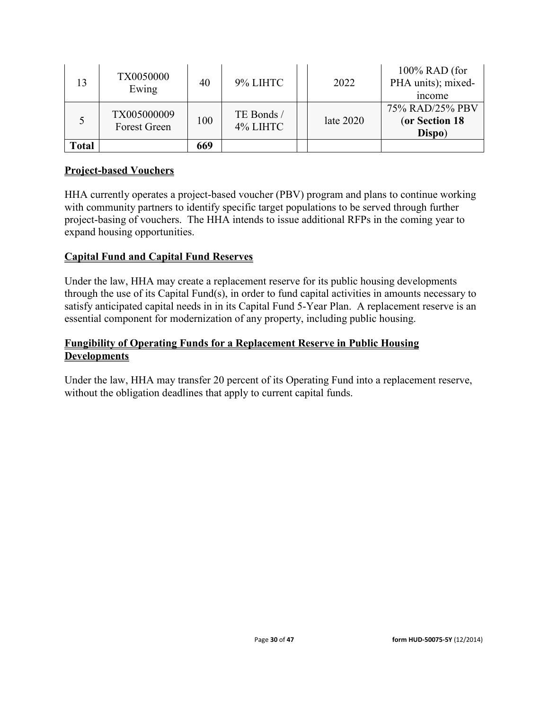|              | TX0050000<br>Ewing                 | 40  | 9% LIHTC               | 2022        | $100\%$ RAD (for<br>PHA units); mixed-<br>income |
|--------------|------------------------------------|-----|------------------------|-------------|--------------------------------------------------|
|              | TX005000009<br><b>Forest Green</b> | 100 | TE Bonds /<br>4% LIHTC | late $2020$ | 75% RAD/25% PBV<br>(or Section 18<br>Dispo)      |
| <b>Total</b> |                                    | 669 |                        |             |                                                  |

## **Project-based Vouchers**

HHA currently operates a project-based voucher (PBV) program and plans to continue working with community partners to identify specific target populations to be served through further project-basing of vouchers. The HHA intends to issue additional RFPs in the coming year to expand housing opportunities.

## **Capital Fund and Capital Fund Reserves**

Under the law, HHA may create a replacement reserve for its public housing developments through the use of its Capital Fund(s), in order to fund capital activities in amounts necessary to satisfy anticipated capital needs in in its Capital Fund 5-Year Plan. A replacement reserve is an essential component for modernization of any property, including public housing.

## **Fungibility of Operating Funds for a Replacement Reserve in Public Housing Developments**

Under the law, HHA may transfer 20 percent of its Operating Fund into a replacement reserve, without the obligation deadlines that apply to current capital funds.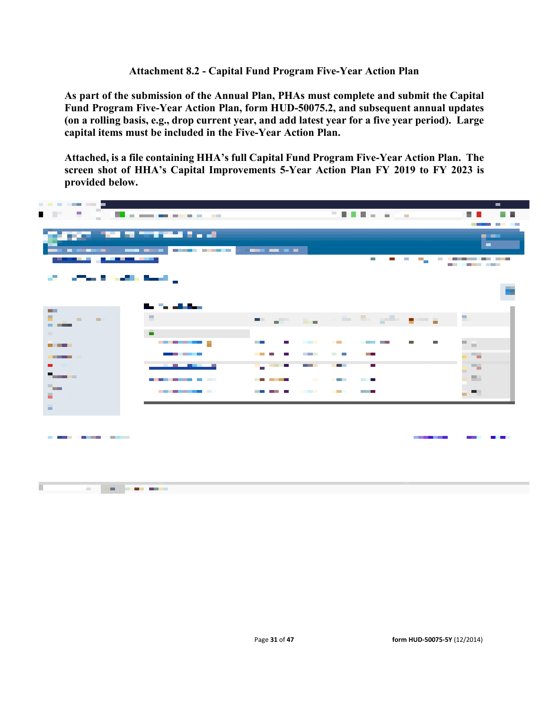### **Attachment 8.2 - Capital Fund Program Five-Year Action Plan**

**As part of the submission of the Annual Plan, PHAs must complete and submit the Capital Fund Program Five-Year Action Plan, form HUD-50075.2, and subsequent annual updates (on a rolling basis, e.g., drop current year, and add latest year for a five year period). Large capital items must be included in the Five-Year Action Plan.** 

**Attached, is a file containing HHA's full Capital Fund Program Five-Year Action Plan. The screen shot of HHA's Capital Improvements 5-Year Action Plan FY 2019 to FY 2023 is provided below.**

| -------                                                                                     |                                                    |                                                                             |                                                                           | <b>The Co</b>           |
|---------------------------------------------------------------------------------------------|----------------------------------------------------|-----------------------------------------------------------------------------|---------------------------------------------------------------------------|-------------------------|
| .                                                                                           | <b>The committee of the committee</b>              |                                                                             | 医骨骨骨炎 医气喘                                                                 | <b>Contract</b>         |
|                                                                                             | and the morning con-                               |                                                                             |                                                                           | -----                   |
|                                                                                             |                                                    |                                                                             |                                                                           | المعرور<br><b>COLLA</b> |
| <u>.</u>                                                                                    |                                                    |                                                                             | <b>The State</b><br><b>Band Band</b>                                      | ____________            |
|                                                                                             |                                                    |                                                                             |                                                                           | ------                  |
| <b>Contract Service Service</b>                                                             |                                                    |                                                                             |                                                                           |                         |
|                                                                                             |                                                    |                                                                             |                                                                           |                         |
|                                                                                             | 8-1-1-1-8-1                                        |                                                                             |                                                                           |                         |
| <b>The Contract of Street</b><br>÷.<br><b>Contract Contract</b><br><b>Contract Contract</b> | н                                                  |                                                                             | the project of the first project project of the                           |                         |
| <b>CONTRACTOR</b>                                                                           |                                                    |                                                                             |                                                                           |                         |
| <b>COLLEGE</b>                                                                              | $\blacksquare$<br>--------                         | <b>The Contract of Street</b><br><b>Contract Contract</b><br><b>Talling</b> | <b>Contract Contract</b><br>and the control of the con-<br>$\blacksquare$ |                         |
| <b>The Common</b>                                                                           | ________                                           | <b>Contract Contract</b><br><b>Contract Contract</b>                        | <b>CONTRACTOR</b><br>. .                                                  | m 14                    |
| <b>CONTRACTOR</b><br><b>Contract Contract</b>                                               | <b>Contract Contract Contract Contract</b>         | <b>Contract Contract</b><br>.                                               | <b>COLOR</b><br>$\blacksquare$                                            | - 76                    |
| <b>Terrantist</b>                                                                           |                                                    |                                                                             |                                                                           | g m                     |
|                                                                                             | --------                                           | -----<br><b>Contract Contract</b>                                           | <b>STATISTICS</b><br><b>Contract Contract</b>                             | - 59                    |
| H.                                                                                          | ________                                           | <b>Contract Contract</b><br>and the state of the state of the               | <b>Contract Contract Contract</b><br>and the state                        | - 70                    |
| à.                                                                                          |                                                    |                                                                             |                                                                           |                         |
|                                                                                             |                                                    |                                                                             |                                                                           |                         |
|                                                                                             |                                                    |                                                                             |                                                                           |                         |
| .                                                                                           |                                                    |                                                                             | -----                                                                     |                         |
|                                                                                             |                                                    |                                                                             |                                                                           |                         |
|                                                                                             |                                                    |                                                                             |                                                                           |                         |
|                                                                                             |                                                    |                                                                             |                                                                           |                         |
| <b>Contract Contract Contract</b>                                                           | <u>and the second company of the second second</u> |                                                                             |                                                                           |                         |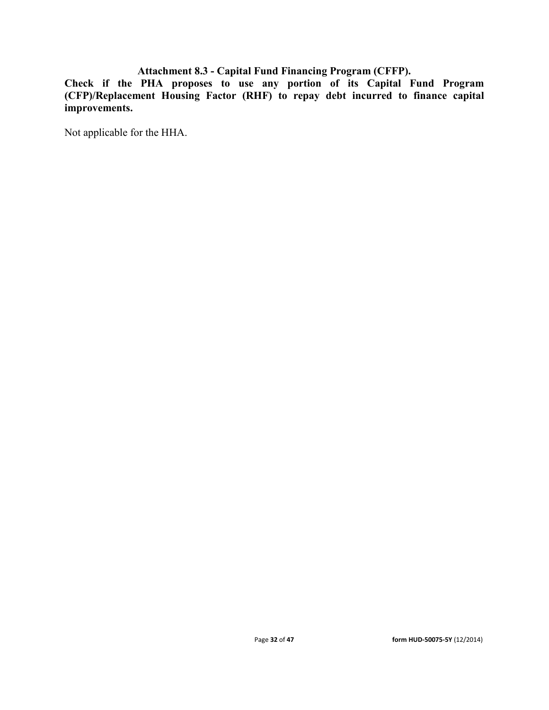## **Attachment 8.3 - Capital Fund Financing Program (CFFP).**

**Check if the PHA proposes to use any portion of its Capital Fund Program (CFP)/Replacement Housing Factor (RHF) to repay debt incurred to finance capital improvements.**

Not applicable for the HHA.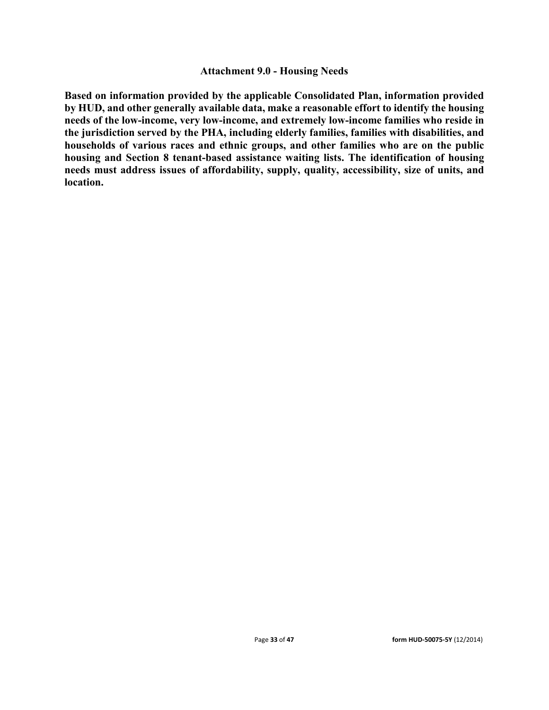### **Attachment 9.0 - Housing Needs**

**Based on information provided by the applicable Consolidated Plan, information provided by HUD, and other generally available data, make a reasonable effort to identify the housing needs of the low-income, very low-income, and extremely low-income families who reside in the jurisdiction served by the PHA, including elderly families, families with disabilities, and households of various races and ethnic groups, and other families who are on the public housing and Section 8 tenant-based assistance waiting lists. The identification of housing needs must address issues of affordability, supply, quality, accessibility, size of units, and location.**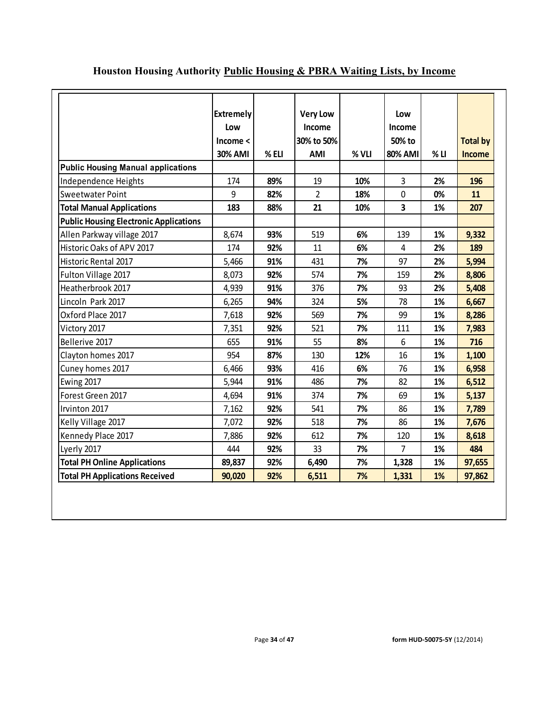|                                               | <b>Extremely</b><br>Low |       | <b>Very Low</b><br>Income |       | Low<br>Income  |        |                 |
|-----------------------------------------------|-------------------------|-------|---------------------------|-------|----------------|--------|-----------------|
|                                               | Income <                |       | 30% to 50%                |       | 50% to         |        | <b>Total by</b> |
|                                               | <b>30% AMI</b>          | % ELI | <b>AMI</b>                | % VLI | <b>80% AMI</b> | $%$ LI | <b>Income</b>   |
| <b>Public Housing Manual applications</b>     |                         |       |                           |       |                |        |                 |
| Independence Heights                          | 174                     | 89%   | 19                        | 10%   | 3              | 2%     | 196             |
| Sweetwater Point                              | 9                       | 82%   | $\overline{2}$            | 18%   | $\mathbf 0$    | 0%     | 11              |
| <b>Total Manual Applications</b>              | 183                     | 88%   | 21                        | 10%   | 3              | 1%     | 207             |
| <b>Public Housing Electronic Applications</b> |                         |       |                           |       |                |        |                 |
| Allen Parkway village 2017                    | 8,674                   | 93%   | 519                       | 6%    | 139            | 1%     | 9,332           |
| Historic Oaks of APV 2017                     | 174                     | 92%   | 11                        | 6%    | 4              | 2%     | 189             |
| <b>Historic Rental 2017</b>                   | 5,466                   | 91%   | 431                       | 7%    | 97             | 2%     | 5,994           |
| Fulton Village 2017                           | 8,073                   | 92%   | 574                       | 7%    | 159            | 2%     | 8,806           |
| Heatherbrook 2017                             | 4,939                   | 91%   | 376                       | 7%    | 93             | 2%     | 5,408           |
| Lincoln Park 2017                             | 6,265                   | 94%   | 324                       | 5%    | 78             | 1%     | 6,667           |
| Oxford Place 2017                             | 7,618                   | 92%   | 569                       | 7%    | 99             | 1%     | 8,286           |
| Victory 2017                                  | 7,351                   | 92%   | 521                       | 7%    | 111            | 1%     | 7,983           |
| Bellerive 2017                                | 655                     | 91%   | 55                        | 8%    | 6              | 1%     | 716             |
| Clayton homes 2017                            | 954                     | 87%   | 130                       | 12%   | 16             | 1%     | 1,100           |
| Cuney homes 2017                              | 6,466                   | 93%   | 416                       | 6%    | 76             | 1%     | 6,958           |
| Ewing 2017                                    | 5,944                   | 91%   | 486                       | 7%    | 82             | 1%     | 6,512           |
| Forest Green 2017                             | 4,694                   | 91%   | 374                       | 7%    | 69             | 1%     | 5,137           |
| Irvinton 2017                                 | 7,162                   | 92%   | 541                       | 7%    | 86             | 1%     | 7,789           |
| Kelly Village 2017                            | 7,072                   | 92%   | 518                       | 7%    | 86             | 1%     | 7,676           |
| Kennedy Place 2017                            | 7,886                   | 92%   | 612                       | 7%    | 120            | 1%     | 8,618           |
| Lyerly 2017                                   | 444                     | 92%   | 33                        | 7%    | $\overline{7}$ | 1%     | 484             |
| <b>Total PH Online Applications</b>           | 89,837                  | 92%   | 6,490                     | 7%    | 1,328          | 1%     | 97,655          |
| <b>Total PH Applications Received</b>         | 90,020                  | 92%   | 6,511                     | 7%    | 1,331          | 1%     | 97,862          |

# **Houston Housing Authority Public Housing & PBRA Waiting Lists, by Income**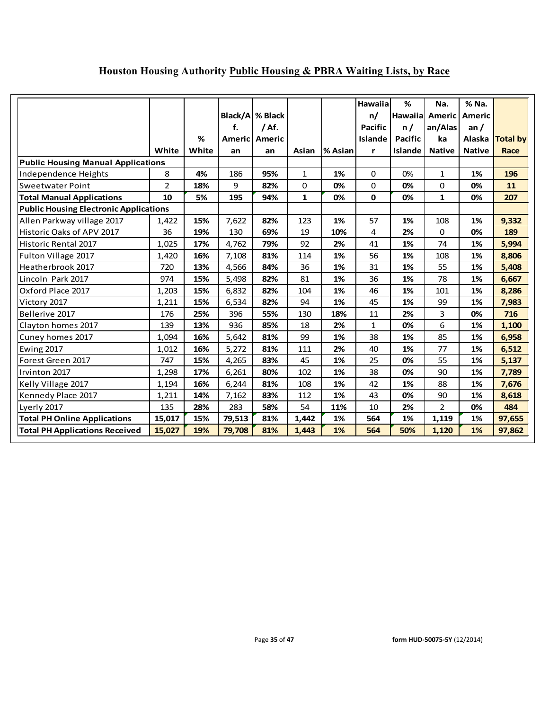# **Houston Housing Authority Public Housing & PBRA Waiting Lists, by Race**

|                                               | White          | %<br>White | f.<br>an | Black/A % Black<br>/Af.<br>Americ Americ<br>an | Asian        | % Asian | Hawaiia<br>n/<br><b>Pacific</b><br><b>Islande</b><br>r | %<br>Hawaiial<br>n/<br><b>Pacific</b><br><b>Islande</b> | Na.<br><b>Americ</b><br>an/Alas<br>ka<br><b>Native</b> | % Na.<br><b>Americ</b><br>an $/$<br>Alaska<br><b>Native</b> | <b>Total by</b><br>Race |
|-----------------------------------------------|----------------|------------|----------|------------------------------------------------|--------------|---------|--------------------------------------------------------|---------------------------------------------------------|--------------------------------------------------------|-------------------------------------------------------------|-------------------------|
| <b>Public Housing Manual Applications</b>     |                |            |          |                                                |              |         |                                                        |                                                         |                                                        |                                                             |                         |
| Independence Heights                          | 8              | 4%         | 186      | 95%                                            | 1            | 1%      | 0                                                      | 0%                                                      | 1                                                      | 1%                                                          | 196                     |
| <b>Sweetwater Point</b>                       | $\overline{2}$ | 18%        | 9        | 82%                                            | 0            | 0%      | 0                                                      | 0%                                                      | 0                                                      | 0%                                                          | 11                      |
| <b>Total Manual Applications</b>              | 10             | 5%         | 195      | 94%                                            | $\mathbf{1}$ | 0%      | $\mathbf 0$                                            | 0%                                                      | $\mathbf{1}$                                           | 0%                                                          | 207                     |
| <b>Public Housing Electronic Applications</b> |                |            |          |                                                |              |         |                                                        |                                                         |                                                        |                                                             |                         |
| Allen Parkway village 2017                    | 1,422          | 15%        | 7,622    | 82%                                            | 123          | 1%      | 57                                                     | 1%                                                      | 108                                                    | 1%                                                          | 9,332                   |
| Historic Oaks of APV 2017                     | 36             | 19%        | 130      | 69%                                            | 19           | 10%     | 4                                                      | 2%                                                      | 0                                                      | 0%                                                          | 189                     |
| Historic Rental 2017                          | 1,025          | 17%        | 4,762    | 79%                                            | 92           | 2%      | 41                                                     | 1%                                                      | 74                                                     | 1%                                                          | 5,994                   |
| Fulton Village 2017                           | 1,420          | 16%        | 7,108    | 81%                                            | 114          | 1%      | 56                                                     | 1%                                                      | 108                                                    | 1%                                                          | 8,806                   |
| Heatherbrook 2017                             | 720            | 13%        | 4,566    | 84%                                            | 36           | 1%      | 31                                                     | 1%                                                      | 55                                                     | 1%                                                          | 5,408                   |
| Lincoln Park 2017                             | 974            | 15%        | 5,498    | 82%                                            | 81           | 1%      | 36                                                     | 1%                                                      | 78                                                     | 1%                                                          | 6,667                   |
| Oxford Place 2017                             | 1,203          | 15%        | 6,832    | 82%                                            | 104          | 1%      | 46                                                     | 1%                                                      | 101                                                    | 1%                                                          | 8,286                   |
| Victory 2017                                  | 1,211          | 15%        | 6,534    | 82%                                            | 94           | 1%      | 45                                                     | 1%                                                      | 99                                                     | 1%                                                          | 7,983                   |
| Bellerive 2017                                | 176            | 25%        | 396      | 55%                                            | 130          | 18%     | 11                                                     | 2%                                                      | 3                                                      | 0%                                                          | 716                     |
| Clayton homes 2017                            | 139            | 13%        | 936      | 85%                                            | 18           | 2%      | 1                                                      | 0%                                                      | 6                                                      | 1%                                                          | 1,100                   |
| Cuney homes 2017                              | 1,094          | 16%        | 5,642    | 81%                                            | 99           | 1%      | 38                                                     | 1%                                                      | 85                                                     | 1%                                                          | 6,958                   |
| Ewing 2017                                    | 1,012          | 16%        | 5,272    | 81%                                            | 111          | 2%      | 40                                                     | 1%                                                      | 77                                                     | 1%                                                          | 6,512                   |
| Forest Green 2017                             | 747            | 15%        | 4,265    | 83%                                            | 45           | 1%      | 25                                                     | 0%                                                      | 55                                                     | 1%                                                          | 5,137                   |
| Irvinton 2017                                 | 1,298          | 17%        | 6,261    | 80%                                            | 102          | 1%      | 38                                                     | 0%                                                      | 90                                                     | 1%                                                          | 7,789                   |
| Kelly Village 2017                            | 1,194          | 16%        | 6,244    | 81%                                            | 108          | 1%      | 42                                                     | 1%                                                      | 88                                                     | 1%                                                          | 7,676                   |
| Kennedy Place 2017                            | 1,211          | 14%        | 7,162    | 83%                                            | 112          | 1%      | 43                                                     | 0%                                                      | 90                                                     | 1%                                                          | 8,618                   |
| Lyerly 2017                                   | 135            | 28%        | 283      | 58%                                            | 54           | 11%     | 10                                                     | 2%                                                      | $\overline{2}$                                         | 0%                                                          | 484                     |
| <b>Total PH Online Applications</b>           | 15,017         | 15%        | 79,513   | 81%                                            | 1,442        | 1%      | 564                                                    | 1%                                                      | 1,119                                                  | 1%                                                          | 97,655                  |
| <b>Total PH Applications Received</b>         | 15,027         | 19%        | 79,708   | 81%                                            | 1,443        | 1%      | 564                                                    | 50%                                                     | 1,120                                                  | 1%                                                          | 97,862                  |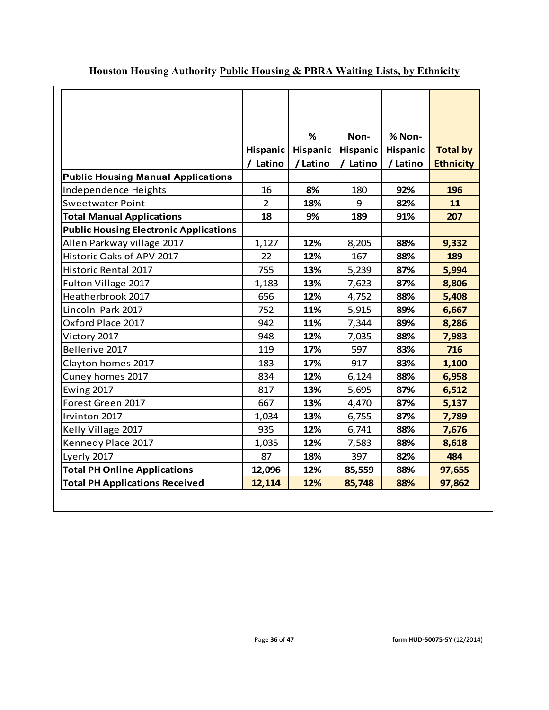|                                               |                 | %        | Non-            | % Non-          |                  |
|-----------------------------------------------|-----------------|----------|-----------------|-----------------|------------------|
|                                               | <b>Hispanic</b> | Hispanic | <b>Hispanic</b> | <b>Hispanic</b> | <b>Total by</b>  |
|                                               | / Latino        | /Latino  | / Latino        | /Latino         | <b>Ethnicity</b> |
| <b>Public Housing Manual Applications</b>     |                 |          |                 |                 |                  |
| Independence Heights                          | 16              | 8%       | 180             | 92%             | 196              |
| <b>Sweetwater Point</b>                       | $\overline{2}$  | 18%      | 9               | 82%             | 11               |
| <b>Total Manual Applications</b>              | 18              | 9%       | 189             | 91%             | 207              |
| <b>Public Housing Electronic Applications</b> |                 |          |                 |                 |                  |
| Allen Parkway village 2017                    | 1,127           | 12%      | 8,205           | 88%             | 9,332            |
| Historic Oaks of APV 2017                     | 22              | 12%      | 167             | 88%             | 189              |
| <b>Historic Rental 2017</b>                   | 755             | 13%      | 5,239           | 87%             | 5,994            |
| Fulton Village 2017                           | 1,183           | 13%      | 7,623           | 87%             | 8,806            |
| Heatherbrook 2017                             | 656             | 12%      | 4,752           | 88%             | 5,408            |
| Lincoln Park 2017                             | 752             | 11%      | 5,915           | 89%             | 6,667            |
| Oxford Place 2017                             | 942             | 11%      | 7,344           | 89%             | 8,286            |
| Victory 2017                                  | 948             | 12%      | 7,035           | 88%             | 7,983            |
| Bellerive 2017                                | 119             | 17%      | 597             | 83%             | 716              |
| Clayton homes 2017                            | 183             | 17%      | 917             | 83%             | 1,100            |
| Cuney homes 2017                              | 834             | 12%      | 6,124           | 88%             | 6,958            |
| Ewing 2017                                    | 817             | 13%      | 5,695           | 87%             | 6,512            |
| Forest Green 2017                             | 667             | 13%      | 4,470           | 87%             | 5,137            |
| Irvinton 2017                                 | 1,034           | 13%      | 6,755           | 87%             | 7,789            |
| Kelly Village 2017                            | 935             | 12%      | 6,741           | 88%             | 7,676            |
| Kennedy Place 2017                            | 1,035           | 12%      | 7,583           | 88%             | 8,618            |
| Lyerly 2017                                   | 87              | 18%      | 397             | 82%             | 484              |
| <b>Total PH Online Applications</b>           | 12,096          | 12%      | 85,559          | 88%             | 97,655           |
| <b>Total PH Applications Received</b>         | 12,114          | 12%      | 85,748          | 88%             | 97,862           |

# **Houston Housing Authority Public Housing & PBRA Waiting Lists, by Ethnicity**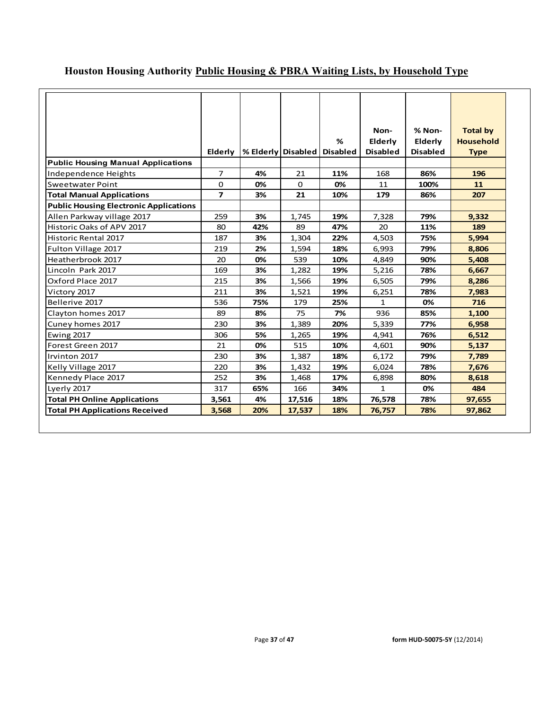|                                               |                          |                    |             |                 | Non-            | % Non-          | <b>Total by</b>  |
|-----------------------------------------------|--------------------------|--------------------|-------------|-----------------|-----------------|-----------------|------------------|
|                                               |                          |                    |             | %               | Elderly         | Elderly         | <b>Household</b> |
|                                               | <b>Elderly</b>           | % Elderly Disabled |             | <b>Disabled</b> | <b>Disabled</b> | <b>Disabled</b> | <b>Type</b>      |
| <b>Public Housing Manual Applications</b>     |                          |                    |             |                 |                 |                 |                  |
| Independence Heights                          | 7                        | 4%                 | 21          | 11%             | 168             | 86%             | 196              |
| <b>Sweetwater Point</b>                       | 0                        | 0%                 | $\mathbf 0$ | 0%              | 11              | 100%            | 11               |
| <b>Total Manual Applications</b>              | $\overline{\phantom{a}}$ | 3%                 | 21          | 10%             | 179             | 86%             | 207              |
| <b>Public Housing Electronic Applications</b> |                          |                    |             |                 |                 |                 |                  |
| Allen Parkway village 2017                    | 259                      | 3%                 | 1,745       | 19%             | 7,328           | 79%             | 9,332            |
| Historic Oaks of APV 2017                     | 80                       | 42%                | 89          | 47%             | 20              | 11%             | 189              |
| <b>Historic Rental 2017</b>                   | 187                      | 3%                 | 1,304       | 22%             | 4,503           | 75%             | 5,994            |
| Fulton Village 2017                           | 219                      | 2%                 | 1,594       | 18%             | 6,993           | 79%             | 8,806            |
| Heatherbrook 2017                             | 20                       | 0%                 | 539         | 10%             | 4,849           | 90%             | 5,408            |
| Lincoln Park 2017                             | 169                      | 3%                 | 1,282       | 19%             | 5,216           | 78%             | 6,667            |
| Oxford Place 2017                             | 215                      | 3%                 | 1,566       | 19%             | 6,505           | 79%             | 8,286            |
| Victory 2017                                  | 211                      | 3%                 | 1,521       | 19%             | 6,251           | 78%             | 7,983            |
| Bellerive 2017                                | 536                      | 75%                | 179         | 25%             | 1               | 0%              | 716              |
| Clayton homes 2017                            | 89                       | 8%                 | 75          | 7%              | 936             | 85%             | 1,100            |
| Cuney homes 2017                              | 230                      | 3%                 | 1,389       | 20%             | 5,339           | 77%             | 6,958            |
| <b>Ewing 2017</b>                             | 306                      | 5%                 | 1,265       | 19%             | 4,941           | 76%             | 6,512            |
| Forest Green 2017                             | 21                       | 0%                 | 515         | 10%             | 4,601           | 90%             | 5,137            |
| Irvinton 2017                                 | 230                      | 3%                 | 1,387       | 18%             | 6,172           | 79%             | 7,789            |
| Kelly Village 2017                            | 220                      | 3%                 | 1,432       | 19%             | 6,024           | 78%             | 7,676            |
| Kennedy Place 2017                            | 252                      | 3%                 | 1,468       | 17%             | 6,898           | 80%             | 8,618            |
| Lyerly 2017                                   | 317                      | 65%                | 166         | 34%             | $\mathbf{1}$    | 0%              | 484              |
| <b>Total PH Online Applications</b>           | 3,561                    | 4%                 | 17,516      | 18%             | 76,578          | 78%             | 97,655           |
| <b>Total PH Applications Received</b>         | 3,568                    | 20%                | 17,537      | 18%             | 76,757          | 78%             | 97,862           |

# **Houston Housing Authority Public Housing & PBRA Waiting Lists, by Household Type**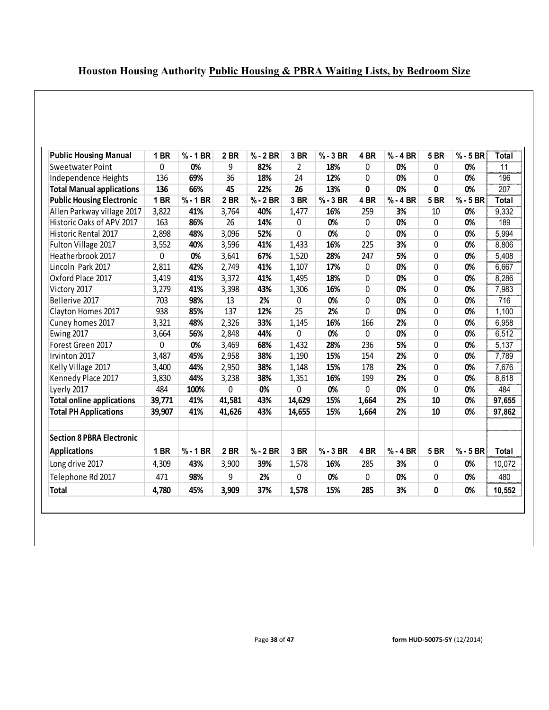| Houston Housing Authority Public Housing & PBRA Waiting Lists, by Bedroom Size |  |
|--------------------------------------------------------------------------------|--|
|                                                                                |  |

| <b>Public Housing Manual</b>     | 1 BR   | $% - 1 BR$ | 2 BR   | $% - 2 BR$ | 3 BR           | $% - 3 BR$ | 4 BR         | $% - 4 BR$ | <b>5 BR</b> | $% - 5 BR$ | Total        |
|----------------------------------|--------|------------|--------|------------|----------------|------------|--------------|------------|-------------|------------|--------------|
| Sweetwater Point                 | 0      | 0%         | 9      | 82%        | $\overline{2}$ | 18%        | 0            | 0%         | 0           | 0%         | 11           |
| Independence Heights             | 136    | 69%        | 36     | 18%        | 24             | 12%        | 0            | 0%         | 0           | 0%         | 196          |
| <b>Total Manual applications</b> | 136    | 66%        | 45     | 22%        | 26             | 13%        | 0            | 0%         | 0           | 0%         | 207          |
| <b>Public Housing Electronic</b> | 1 BR   | $% -1 BR$  | 2 BR   | $% - 2 BR$ | 3 BR           | $% -3 BR$  | 4 BR         | $% - 4 BR$ | <b>5 BR</b> | $% - 5 BR$ | <b>Total</b> |
| Allen Parkway village 2017       | 3,822  | 41%        | 3,764  | 40%        | 1,477          | 16%        | 259          | 3%         | 10          | 0%         | 9,332        |
| Historic Oaks of APV 2017        | 163    | 86%        | 26     | 14%        | 0              | 0%         | 0            | 0%         | 0           | 0%         | 189          |
| Historic Rental 2017             | 2,898  | 48%        | 3,096  | 52%        | 0              | 0%         | 0            | 0%         | 0           | 0%         | 5,994        |
| Fulton Village 2017              | 3,552  | 40%        | 3,596  | 41%        | 1,433          | 16%        | 225          | 3%         | 0           | 0%         | 8,806        |
| Heatherbrook 2017                | 0      | 0%         | 3,641  | 67%        | 1,520          | 28%        | 247          | 5%         | 0           | 0%         | 5,408        |
| Lincoln Park 2017                | 2,811  | 42%        | 2,749  | 41%        | 1,107          | 17%        | 0            | 0%         | 0           | 0%         | 6,667        |
| Oxford Place 2017                | 3,419  | 41%        | 3,372  | 41%        | 1,495          | 18%        | 0            | 0%         | 0           | 0%         | 8,286        |
| Victory 2017                     | 3,279  | 41%        | 3,398  | 43%        | 1,306          | 16%        | 0            | 0%         | 0           | 0%         | 7,983        |
| Bellerive 2017                   | 703    | 98%        | 13     | 2%         | 0              | 0%         | $\mathbf{0}$ | 0%         | 0           | 0%         | 716          |
| Clayton Homes 2017               | 938    | 85%        | 137    | 12%        | 25             | 2%         | 0            | 0%         | 0           | 0%         | 1,100        |
| Cuney homes 2017                 | 3,321  | 48%        | 2,326  | 33%        | 1,145          | 16%        | 166          | 2%         | 0           | 0%         | 6,958        |
| Ewing 2017                       | 3,664  | 56%        | 2,848  | 44%        | 0              | 0%         | 0            | 0%         | 0           | 0%         | 6,512        |
| Forest Green 2017                | 0      | 0%         | 3,469  | 68%        | 1,432          | 28%        | 236          | 5%         | 0           | 0%         | 5,137        |
| Irvinton 2017                    | 3,487  | 45%        | 2,958  | 38%        | 1,190          | 15%        | 154          | 2%         | 0           | 0%         | 7,789        |
| Kelly Village 2017               | 3,400  | 44%        | 2,950  | 38%        | 1,148          | 15%        | 178          | 2%         | 0           | 0%         | 7,676        |
| Kennedy Place 2017               | 3,830  | 44%        | 3,238  | 38%        | 1,351          | 16%        | 199          | 2%         | 0           | 0%         | 8,618        |
| Lyerly 2017                      | 484    | 100%       | 0      | 0%         | 0              | 0%         | 0            | 0%         | 0           | 0%         | 484          |
| <b>Total online applications</b> | 39,771 | 41%        | 41,581 | 43%        | 14,629         | 15%        | 1,664        | 2%         | 10          | 0%         | 97,655       |
| <b>Total PH Applications</b>     | 39,907 | 41%        | 41,626 | 43%        | 14,655         | 15%        | 1,664        | 2%         | 10          | 0%         | 97,862       |
| <b>Section 8 PBRA Electronic</b> |        |            |        |            |                |            |              |            |             |            |              |
| <b>Applications</b>              | 1 BR   | $% - 1 BR$ | 2 BR   | $% - 2 BR$ | 3 BR           | $% - 3 BR$ | 4 BR         | $% - 4 BR$ | <b>5 BR</b> | $% - 5 BR$ | Total        |
| Long drive 2017                  | 4,309  | 43%        | 3,900  | 39%        | 1,578          | 16%        | 285          | 3%         | 0           | 0%         | 10,072       |
| Telephone Rd 2017                | 471    | 98%        | 9      | 2%         | 0              | 0%         | 0            | 0%         | 0           | 0%         | 480          |
| <b>Total</b>                     | 4,780  | 45%        | 3,909  | 37%        | 1,578          | 15%        | 285          | 3%         | 0           | 0%         | 10,552       |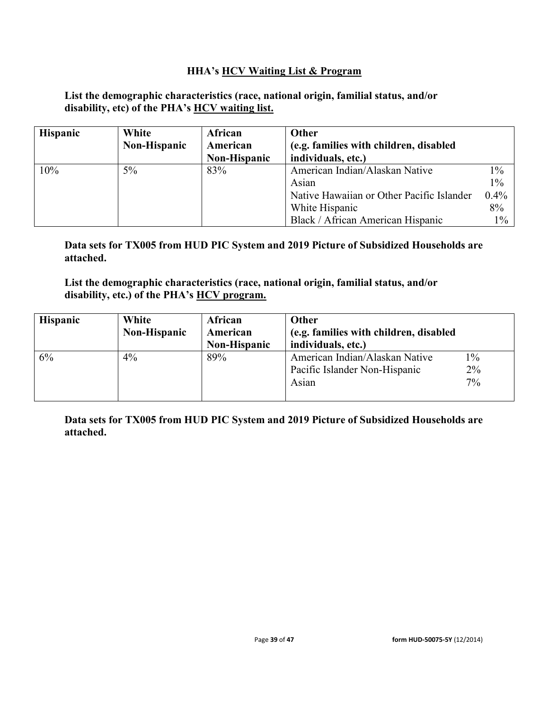## **HHA's HCV Waiting List & Program**

## **List the demographic characteristics (race, national origin, familial status, and/or disability, etc) of the PHA's HCV waiting list.**

| <b>Hispanic</b> | White        | African      | Other                                     |         |
|-----------------|--------------|--------------|-------------------------------------------|---------|
|                 | Non-Hispanic | American     | (e.g. families with children, disabled    |         |
|                 |              | Non-Hispanic | individuals, etc.)                        |         |
| 10%             | $5\%$        | 83%          | American Indian/Alaskan Native            | $1\%$   |
|                 |              |              | Asian                                     | $1\%$   |
|                 |              |              | Native Hawaiian or Other Pacific Islander | $0.4\%$ |
|                 |              |              | White Hispanic                            | 8%      |
|                 |              |              | Black / African American Hispanic         | $1\%$   |

**Data sets for TX005 from HUD PIC System and 2019 Picture of Subsidized Households are attached.**

**List the demographic characteristics (race, national origin, familial status, and/or disability, etc.) of the PHA's HCV program.**

| <b>Hispanic</b> | White<br><b>Non-Hispanic</b> | African<br>American | Other<br>(e.g. families with children, disabled |       |
|-----------------|------------------------------|---------------------|-------------------------------------------------|-------|
|                 |                              | <b>Non-Hispanic</b> | individuals, etc.)                              |       |
| 6%              | $4\%$                        | 89%                 | American Indian/Alaskan Native                  | $1\%$ |
|                 |                              |                     | Pacific Islander Non-Hispanic                   | 2%    |
|                 |                              |                     | Asian                                           | $7\%$ |
|                 |                              |                     |                                                 |       |

**Data sets for TX005 from HUD PIC System and 2019 Picture of Subsidized Households are attached.**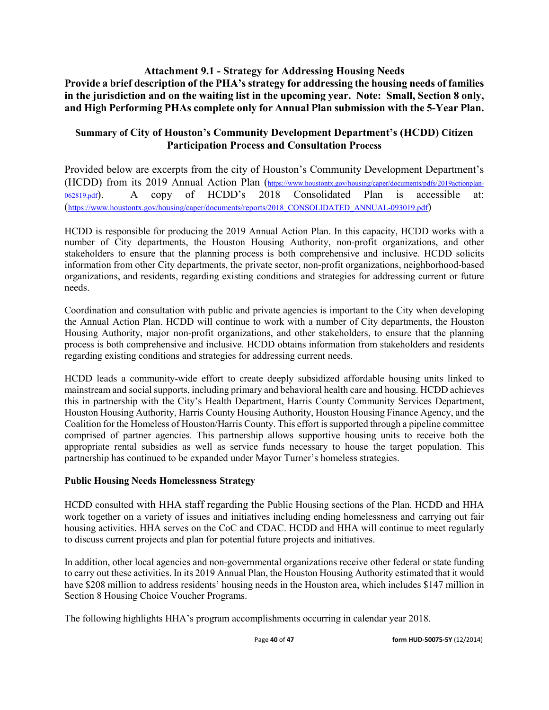## **Attachment 9.1 - Strategy for Addressing Housing Needs Provide a brief description of the PHA's strategy for addressing the housing needs of families in the jurisdiction and on the waiting list in the upcoming year. Note: Small, Section 8 only, and High Performing PHAs complete only for Annual Plan submission with the 5-Year Plan.**

## **Summary of City of Houston's Community Development Department's (HCDD) Citizen Participation Process and Consultation Process**

Provided below are excerpts from the city of Houston's Community Development Department's (HCDD) from its 2019 Annual Action Plan [\(https://www.houstontx.gov/housing/caper/documents/pdfs/2019actionplan-](https://www.houstontx.gov/housing/caper/documents/pdfs/2019actionplan-062819.pdf)[062819.pdf\)](https://www.houstontx.gov/housing/caper/documents/pdfs/2019actionplan-062819.pdf). A copy of HCDD's 2018 Consolidated Plan is accessible at: [\(https://www.houstontx.gov/housing/caper/documents/reports/2018\\_CONSOLIDATED\\_ANNUAL-093019.pdf\)](https://www.houstontx.gov/housing/caper/documents/reports/2018_CONSOLIDATED_ANNUAL-093019.pdf)

HCDD is responsible for producing the 2019 Annual Action Plan. In this capacity, HCDD works with a number of City departments, the Houston Housing Authority, non-profit organizations, and other stakeholders to ensure that the planning process is both comprehensive and inclusive. HCDD solicits information from other City departments, the private sector, non-profit organizations, neighborhood-based organizations, and residents, regarding existing conditions and strategies for addressing current or future needs.

Coordination and consultation with public and private agencies is important to the City when developing the Annual Action Plan. HCDD will continue to work with a number of City departments, the Houston Housing Authority, major non-profit organizations, and other stakeholders, to ensure that the planning process is both comprehensive and inclusive. HCDD obtains information from stakeholders and residents regarding existing conditions and strategies for addressing current needs.

HCDD leads a community-wide effort to create deeply subsidized affordable housing units linked to mainstream and social supports, including primary and behavioral health care and housing. HCDD achieves this in partnership with the City's Health Department, Harris County Community Services Department, Houston Housing Authority, Harris County Housing Authority, Houston Housing Finance Agency, and the Coalition for the Homeless of Houston/Harris County. This effort is supported through a pipeline committee comprised of partner agencies. This partnership allows supportive housing units to receive both the appropriate rental subsidies as well as service funds necessary to house the target population. This partnership has continued to be expanded under Mayor Turner's homeless strategies.

## **Public Housing Needs Homelessness Strategy**

HCDD consulted with HHA staff regarding the Public Housing sections of the Plan. HCDD and HHA work together on a variety of issues and initiatives including ending homelessness and carrying out fair housing activities. HHA serves on the CoC and CDAC. HCDD and HHA will continue to meet regularly to discuss current projects and plan for potential future projects and initiatives.

In addition, other local agencies and non-governmental organizations receive other federal or state funding to carry out these activities. In its 2019 Annual Plan, the Houston Housing Authority estimated that it would have \$208 million to address residents' housing needs in the Houston area, which includes \$147 million in Section 8 Housing Choice Voucher Programs.

The following highlights HHA's program accomplishments occurring in calendar year 2018.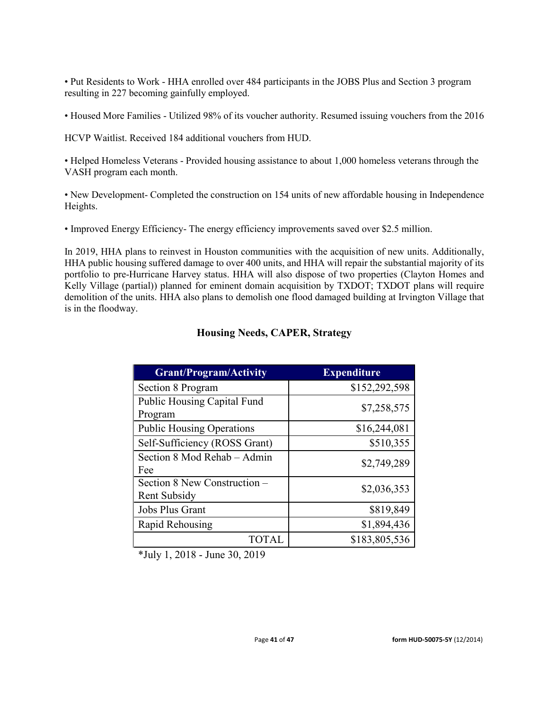• Put Residents to Work - HHA enrolled over 484 participants in the JOBS Plus and Section 3 program resulting in 227 becoming gainfully employed.

• Housed More Families - Utilized 98% of its voucher authority. Resumed issuing vouchers from the 2016

HCVP Waitlist. Received 184 additional vouchers from HUD.

• Helped Homeless Veterans - Provided housing assistance to about 1,000 homeless veterans through the VASH program each month.

• New Development- Completed the construction on 154 units of new affordable housing in Independence Heights.

• Improved Energy Efficiency- The energy efficiency improvements saved over \$2.5 million.

In 2019, HHA plans to reinvest in Houston communities with the acquisition of new units. Additionally, HHA public housing suffered damage to over 400 units, and HHA will repair the substantial majority of its portfolio to pre-Hurricane Harvey status. HHA will also dispose of two properties (Clayton Homes and Kelly Village (partial)) planned for eminent domain acquisition by TXDOT; TXDOT plans will require demolition of the units. HHA also plans to demolish one flood damaged building at Irvington Village that is in the floodway.

| <b>Grant/Program/Activity</b>                | <b>Expenditure</b> |
|----------------------------------------------|--------------------|
| Section 8 Program                            | \$152,292,598      |
| Public Housing Capital Fund<br>Program       | \$7,258,575        |
| <b>Public Housing Operations</b>             | \$16,244,081       |
| Self-Sufficiency (ROSS Grant)                | \$510,355          |
| Section 8 Mod Rehab – Admin<br>Fee           | \$2,749,289        |
| Section 8 New Construction -<br>Rent Subsidy | \$2,036,353        |
| Jobs Plus Grant                              | \$819,849          |
| Rapid Rehousing                              | \$1,894,436        |
| <b>TOTAL</b>                                 | \$183,805,536      |

### **Housing Needs, CAPER, Strategy**

\*July 1, 2018 - June 30, 2019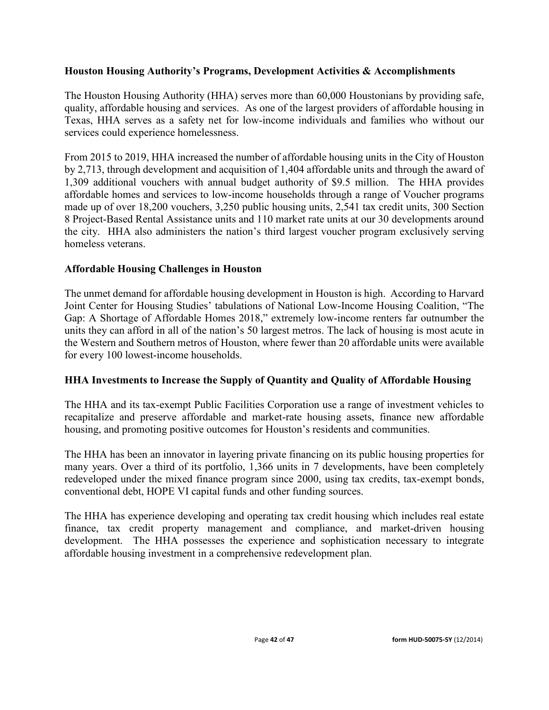## **Houston Housing Authority's Programs, Development Activities & Accomplishments**

The Houston Housing Authority (HHA) serves more than 60,000 Houstonians by providing safe, quality, affordable housing and services. As one of the largest providers of affordable housing in Texas, HHA serves as a safety net for low-income individuals and families who without our services could experience homelessness.

From 2015 to 2019, HHA increased the number of affordable housing units in the City of Houston by 2,713, through development and acquisition of 1,404 affordable units and through the award of 1,309 additional vouchers with annual budget authority of \$9.5 million. The HHA provides affordable homes and services to low-income households through a range of Voucher programs made up of over 18,200 vouchers, 3,250 public housing units, 2,541 tax credit units, 300 Section 8 Project-Based Rental Assistance units and 110 market rate units at our 30 developments around the city. HHA also administers the nation's third largest voucher program exclusively serving homeless veterans.

## **Affordable Housing Challenges in Houston**

The unmet demand for affordable housing development in Houston is high. According to Harvard Joint Center for Housing Studies' tabulations of National Low-Income Housing Coalition, "The Gap: A Shortage of Affordable Homes 2018," extremely low-income renters far outnumber the units they can afford in all of the nation's 50 largest metros. The lack of housing is most acute in the Western and Southern metros of Houston, where fewer than 20 affordable units were available for every 100 lowest-income households.

## **HHA Investments to Increase the Supply of Quantity and Quality of Affordable Housing**

The HHA and its tax-exempt Public Facilities Corporation use a range of investment vehicles to recapitalize and preserve affordable and market-rate housing assets, finance new affordable housing, and promoting positive outcomes for Houston's residents and communities.

The HHA has been an innovator in layering private financing on its public housing properties for many years. Over a third of its portfolio, 1,366 units in 7 developments, have been completely redeveloped under the mixed finance program since 2000, using tax credits, tax-exempt bonds, conventional debt, HOPE VI capital funds and other funding sources.

The HHA has experience developing and operating tax credit housing which includes real estate finance, tax credit property management and compliance, and market-driven housing development. The HHA possesses the experience and sophistication necessary to integrate affordable housing investment in a comprehensive redevelopment plan.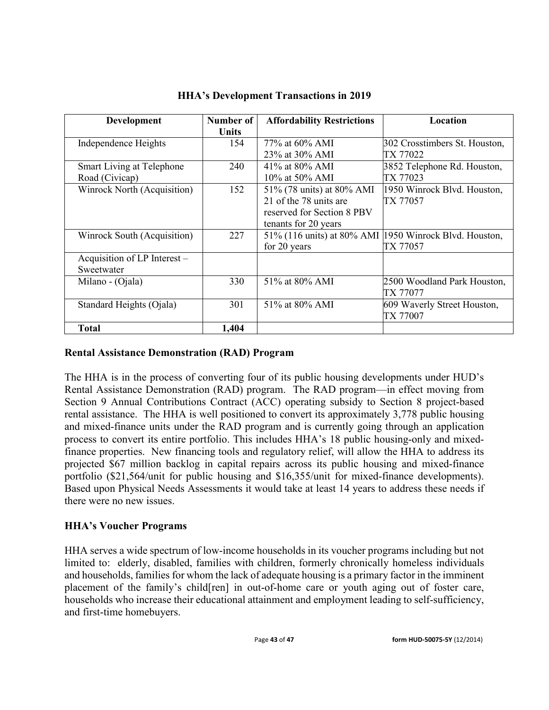| Development                  | Number of | <b>Affordability Restrictions</b> | Location                                                 |
|------------------------------|-----------|-----------------------------------|----------------------------------------------------------|
|                              | Units     |                                   |                                                          |
| Independence Heights         | 154       | 77\% at 60\% AMI                  | 302 Crosstimbers St. Houston,                            |
|                              |           | 23% at 30% AMI                    | TX 77022                                                 |
| Smart Living at Telephone    | 240       | 41\% at 80\% AMI                  | 3852 Telephone Rd. Houston,                              |
| Road (Civicap)               |           | 10% at 50% AMI                    | TX 77023                                                 |
| Winrock North (Acquisition)  | 152       | 51% (78 units) at 80% AMI         | 1950 Winrock Blvd. Houston,                              |
|                              |           | 21 of the 78 units are            | TX 77057                                                 |
|                              |           | reserved for Section 8 PBV        |                                                          |
|                              |           | tenants for 20 years              |                                                          |
| Winrock South (Acquisition)  | 227       |                                   | 51% (116 units) at 80% AMI   1950 Winrock Blvd. Houston, |
|                              |           | for 20 years                      | TX 77057                                                 |
| Acquisition of LP Interest - |           |                                   |                                                          |
| Sweetwater                   |           |                                   |                                                          |
| Milano - (Ojala)             | 330       | 51% at 80% AMI                    | 2500 Woodland Park Houston,                              |
|                              |           |                                   | TX 77077                                                 |
| Standard Heights (Ojala)     | 301       | 51\% at 80\% AMI                  | 609 Waverly Street Houston,                              |
|                              |           |                                   | TX 77007                                                 |
| <b>Total</b>                 | 1,404     |                                   |                                                          |

**HHA's Development Transactions in 2019**

## **Rental Assistance Demonstration (RAD) Program**

The HHA is in the process of converting four of its public housing developments under HUD's Rental Assistance Demonstration (RAD) program. The RAD program—in effect moving from Section 9 Annual Contributions Contract (ACC) operating subsidy to Section 8 project-based rental assistance. The HHA is well positioned to convert its approximately 3,778 public housing and mixed-finance units under the RAD program and is currently going through an application process to convert its entire portfolio. This includes HHA's 18 public housing-only and mixedfinance properties. New financing tools and regulatory relief, will allow the HHA to address its projected \$67 million backlog in capital repairs across its public housing and mixed-finance portfolio (\$21,564/unit for public housing and \$16,355/unit for mixed-finance developments). Based upon Physical Needs Assessments it would take at least 14 years to address these needs if there were no new issues.

## **HHA's Voucher Programs**

HHA serves a wide spectrum of low-income households in its voucher programs including but not limited to: elderly, disabled, families with children, formerly chronically homeless individuals and households, families for whom the lack of adequate housing is a primary factor in the imminent placement of the family's child[ren] in out-of-home care or youth aging out of foster care, households who increase their educational attainment and employment leading to self-sufficiency, and first-time homebuyers.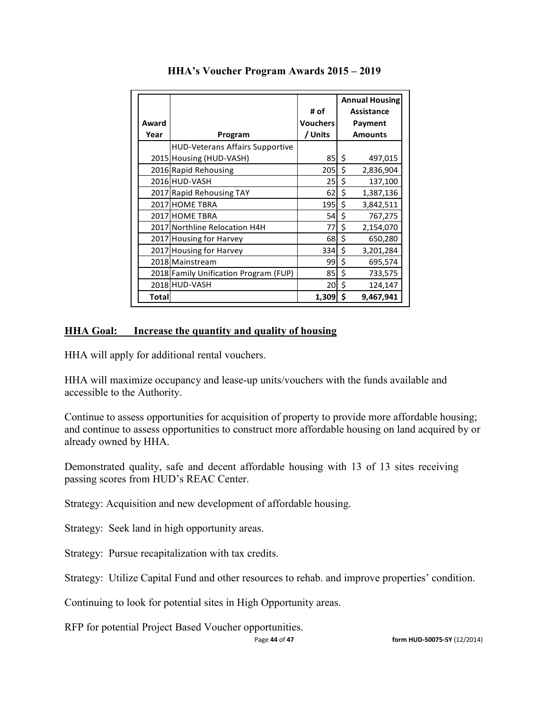|       |                                        | # of            | <b>Annual Housing</b><br>Assistance |                |  |  |
|-------|----------------------------------------|-----------------|-------------------------------------|----------------|--|--|
| Award |                                        | <b>Vouchers</b> |                                     | Payment        |  |  |
| Year  | Program                                | / Units         |                                     | <b>Amounts</b> |  |  |
|       | <b>HUD-Veterans Affairs Supportive</b> |                 |                                     |                |  |  |
|       | 2015 Housing (HUD-VASH)                | 85              | \$                                  | 497,015        |  |  |
|       | 2016 Rapid Rehousing                   | 205             | \$                                  | 2,836,904      |  |  |
|       | 2016 HUD-VASH                          | 25              | \$                                  | 137,100        |  |  |
|       | 2017 Rapid Rehousing TAY               | 62              | \$                                  | 1,387,136      |  |  |
|       | 2017 HOME TBRA                         | 195             | \$                                  | 3,842,511      |  |  |
|       | 2017 HOME TBRA                         | 54              | \$                                  | 767,275        |  |  |
|       | 2017 Northline Relocation H4H          | 77              | \$                                  | 2,154,070      |  |  |
|       | 2017 Housing for Harvey                | 68              | \$                                  | 650,280        |  |  |
|       | 2017 Housing for Harvey                | 334             | \$                                  | 3,201,284      |  |  |
|       | 2018 Mainstream                        | 99              | \$                                  | 695,574        |  |  |
|       | 2018 Family Unification Program (FUP)  | 85              | \$                                  | 733,575        |  |  |
|       | 2018 HUD-VASH                          | 20 <sub>l</sub> | \$                                  | 124,147        |  |  |
| Total |                                        | 1,309           | \$                                  | 9,467,941      |  |  |

### **HHA's Voucher Program Awards 2015 – 2019**

## **HHA Goal: Increase the quantity and quality of housing**

HHA will apply for additional rental vouchers.

HHA will maximize occupancy and lease-up units/vouchers with the funds available and accessible to the Authority.

Continue to assess opportunities for acquisition of property to provide more affordable housing; and continue to assess opportunities to construct more affordable housing on land acquired by or already owned by HHA.

Demonstrated quality, safe and decent affordable housing with 13 of 13 sites receiving passing scores from HUD's REAC Center.

Strategy: Acquisition and new development of affordable housing.

Strategy: Seek land in high opportunity areas.

Strategy: Pursue recapitalization with tax credits.

Strategy: Utilize Capital Fund and other resources to rehab. and improve properties' condition.

Continuing to look for potential sites in High Opportunity areas.

RFP for potential Project Based Voucher opportunities.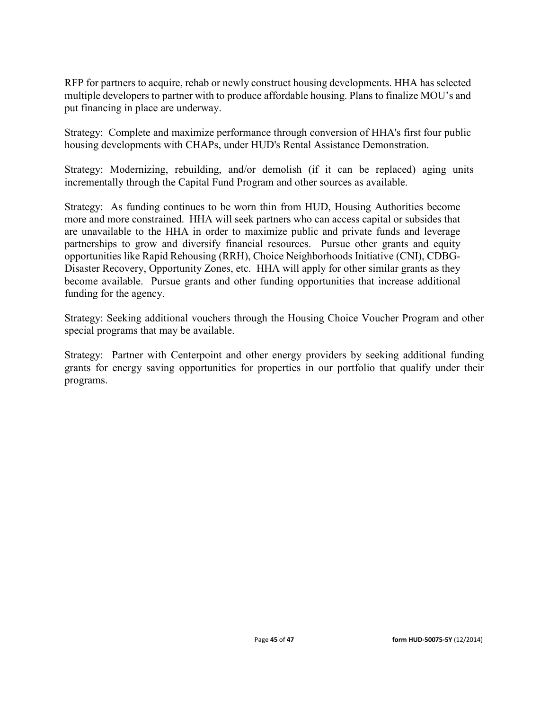RFP for partners to acquire, rehab or newly construct housing developments. HHA has selected multiple developers to partner with to produce affordable housing. Plans to finalize MOU's and put financing in place are underway.

Strategy: Complete and maximize performance through conversion of HHA's first four public housing developments with CHAPs, under HUD's Rental Assistance Demonstration.

Strategy: Modernizing, rebuilding, and/or demolish (if it can be replaced) aging units incrementally through the Capital Fund Program and other sources as available.

Strategy: As funding continues to be worn thin from HUD, Housing Authorities become more and more constrained. HHA will seek partners who can access capital or subsides that are unavailable to the HHA in order to maximize public and private funds and leverage partnerships to grow and diversify financial resources. Pursue other grants and equity opportunities like Rapid Rehousing (RRH), Choice Neighborhoods Initiative (CNI), CDBG-Disaster Recovery, Opportunity Zones, etc. HHA will apply for other similar grants as they become available. Pursue grants and other funding opportunities that increase additional funding for the agency.

Strategy: Seeking additional vouchers through the Housing Choice Voucher Program and other special programs that may be available.

Strategy: Partner with Centerpoint and other energy providers by seeking additional funding grants for energy saving opportunities for properties in our portfolio that qualify under their programs.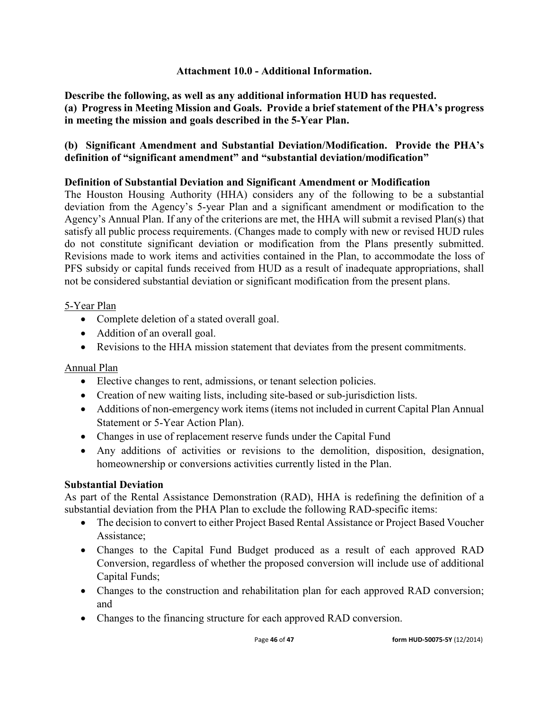## **Attachment 10.0 - Additional Information.**

**Describe the following, as well as any additional information HUD has requested. (a) Progress in Meeting Mission and Goals. Provide a brief statement of the PHA's progress in meeting the mission and goals described in the 5-Year Plan.** 

## **(b) Significant Amendment and Substantial Deviation/Modification. Provide the PHA's definition of "significant amendment" and "substantial deviation/modification"**

## **Definition of Substantial Deviation and Significant Amendment or Modification**

The Houston Housing Authority (HHA) considers any of the following to be a substantial deviation from the Agency's 5-year Plan and a significant amendment or modification to the Agency's Annual Plan. If any of the criterions are met, the HHA will submit a revised Plan(s) that satisfy all public process requirements. (Changes made to comply with new or revised HUD rules do not constitute significant deviation or modification from the Plans presently submitted. Revisions made to work items and activities contained in the Plan, to accommodate the loss of PFS subsidy or capital funds received from HUD as a result of inadequate appropriations, shall not be considered substantial deviation or significant modification from the present plans.

## 5-Year Plan

- Complete deletion of a stated overall goal.
- Addition of an overall goal.
- Revisions to the HHA mission statement that deviates from the present commitments.

## Annual Plan

- Elective changes to rent, admissions, or tenant selection policies.
- Creation of new waiting lists, including site-based or sub-jurisdiction lists.
- Additions of non-emergency work items (items not included in current Capital Plan Annual Statement or 5-Year Action Plan).
- Changes in use of replacement reserve funds under the Capital Fund
- Any additions of activities or revisions to the demolition, disposition, designation, homeownership or conversions activities currently listed in the Plan.

## **Substantial Deviation**

As part of the Rental Assistance Demonstration (RAD), HHA is redefining the definition of a substantial deviation from the PHA Plan to exclude the following RAD-specific items:

- The decision to convert to either Project Based Rental Assistance or Project Based Voucher Assistance;
- Changes to the Capital Fund Budget produced as a result of each approved RAD Conversion, regardless of whether the proposed conversion will include use of additional Capital Funds;
- Changes to the construction and rehabilitation plan for each approved RAD conversion; and
- Changes to the financing structure for each approved RAD conversion.